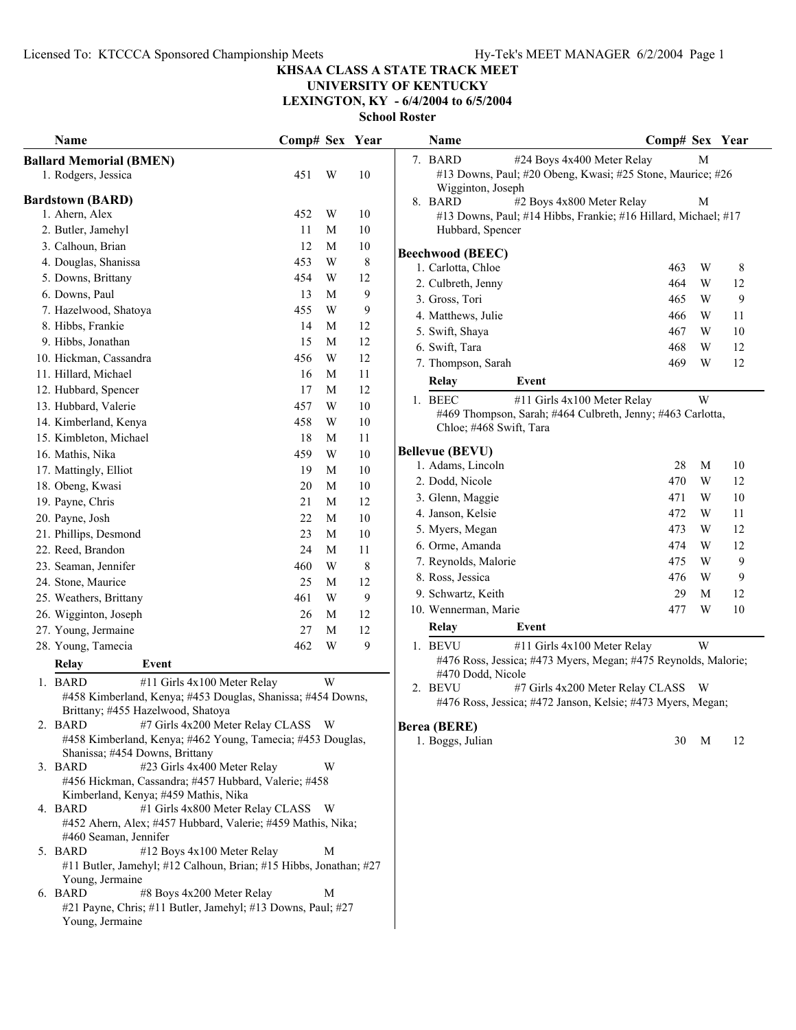## **UNIVERSITY OF KENTUCKY**

**LEXINGTON, KY - 6/4/2004 to 6/5/2004**

**School Roster**

| Name                                                                                                         | Comp# Sex Year |                         |        | Name                    | Comp# Sex Year                                                                                   |    |
|--------------------------------------------------------------------------------------------------------------|----------------|-------------------------|--------|-------------------------|--------------------------------------------------------------------------------------------------|----|
| <b>Ballard Memorial (BMEN)</b><br>1. Rodgers, Jessica                                                        | 451            | W                       | 10     | 7. BARD                 | #24 Boys 4x400 Meter Relay<br>М<br>#13 Downs, Paul; #20 Obeng, Kwasi; #25 Stone, Maurice; #26    |    |
| <b>Bardstown (BARD)</b>                                                                                      |                |                         |        | Wigginton, Joseph       |                                                                                                  |    |
| 1. Ahern, Alex                                                                                               | 452            | W                       | 10     | 8. BARD                 | #2 Boys 4x800 Meter Relay<br>M<br>#13 Downs, Paul; #14 Hibbs, Frankie; #16 Hillard, Michael; #17 |    |
| 2. Butler, Jamehyl                                                                                           | 11             | M                       | 10     | Hubbard, Spencer        |                                                                                                  |    |
| 3. Calhoun, Brian                                                                                            | 12             | M                       | 10     |                         |                                                                                                  |    |
| 4. Douglas, Shanissa                                                                                         | 453            | W                       | 8      | <b>Beechwood (BEEC)</b> |                                                                                                  |    |
| 5. Downs, Brittany                                                                                           | 454            | W                       | 12     | 1. Carlotta, Chloe      | W<br>463                                                                                         | 8  |
| 6. Downs, Paul                                                                                               | 13             | M                       | 9      | 2. Culbreth, Jenny      | W<br>464                                                                                         | 12 |
| 7. Hazelwood, Shatoya                                                                                        | 455            | $\ensuremath{\text{W}}$ | 9      | 3. Gross, Tori          | W<br>465                                                                                         | 9  |
| 8. Hibbs, Frankie                                                                                            | 14             | M                       | 12     | 4. Matthews, Julie      | W<br>466                                                                                         | 11 |
| 9. Hibbs, Jonathan                                                                                           | 15             | M                       | 12     | 5. Swift, Shaya         | 467<br>W                                                                                         | 10 |
| 10. Hickman, Cassandra                                                                                       | 456            | $\ensuremath{\text{W}}$ | 12     | 6. Swift, Tara          | 468<br>W                                                                                         | 12 |
| 11. Hillard, Michael                                                                                         | 16             | M                       | 11     | 7. Thompson, Sarah      | 469<br>W                                                                                         | 12 |
| 12. Hubbard, Spencer                                                                                         | 17             | M                       | 12     | <b>Relay</b>            | Event                                                                                            |    |
| 13. Hubbard, Valerie                                                                                         | 457            | W                       | 10     | 1. BEEC                 | W<br>#11 Girls 4x100 Meter Relay                                                                 |    |
| 14. Kimberland, Kenya                                                                                        | 458            | W                       | $10\,$ |                         | #469 Thompson, Sarah; #464 Culbreth, Jenny; #463 Carlotta,                                       |    |
| 15. Kimbleton, Michael                                                                                       | 18             | M                       | 11     | Chloe; #468 Swift, Tara |                                                                                                  |    |
| 16. Mathis, Nika                                                                                             | 459            | W                       | 10     | <b>Bellevue (BEVU)</b>  |                                                                                                  |    |
| 17. Mattingly, Elliot                                                                                        | 19             | M                       | 10     | 1. Adams, Lincoln       | 28<br>M                                                                                          | 10 |
| 18. Obeng, Kwasi                                                                                             | 20             | M                       | $10\,$ | 2. Dodd, Nicole         | 470<br>W                                                                                         | 12 |
| 19. Payne, Chris                                                                                             | 21             | $\mathbf M$             | 12     | 3. Glenn, Maggie        | 471<br>W                                                                                         | 10 |
| 20. Payne, Josh                                                                                              | 22             | $\mathbf M$             | 10     | 4. Janson, Kelsie       | 472<br>W                                                                                         | 11 |
| 21. Phillips, Desmond                                                                                        | 23             | $\mathbf M$             | 10     | 5. Myers, Megan         | 473<br>W                                                                                         | 12 |
| 22. Reed, Brandon                                                                                            | 24             | M                       | 11     | 6. Orme, Amanda         | 474<br>W                                                                                         | 12 |
| 23. Seaman, Jennifer                                                                                         | 460            | W                       | 8      | 7. Reynolds, Malorie    | W<br>475                                                                                         | 9  |
| 24. Stone, Maurice                                                                                           | 25             | M                       | 12     | 8. Ross, Jessica        | 476<br>W                                                                                         | 9  |
| 25. Weathers, Brittany                                                                                       | 461            | W                       | 9      | 9. Schwartz, Keith      | 29<br>M                                                                                          | 12 |
| 26. Wigginton, Joseph                                                                                        | 26             | M                       | 12     | 10. Wennerman, Marie    | W<br>477                                                                                         | 10 |
| 27. Young, Jermaine                                                                                          | 27             | M                       | 12     | Relay                   | Event                                                                                            |    |
| 28. Young, Tamecia                                                                                           | 462            | W                       | 9      | 1. BEVU                 | W<br>#11 Girls 4x100 Meter Relay                                                                 |    |
|                                                                                                              |                |                         |        |                         | #476 Ross, Jessica; #473 Myers, Megan; #475 Reynolds, Malorie;                                   |    |
| <b>Relay</b><br>Event                                                                                        |                |                         |        | #470 Dodd, Nicole       |                                                                                                  |    |
| 1. BARD<br>#11 Girls 4x100 Meter Relay                                                                       |                | W                       |        | 2. BEVU                 | #7 Girls 4x200 Meter Relay CLASS<br>- W                                                          |    |
| #458 Kimberland, Kenya; #453 Douglas, Shanissa; #454 Downs,<br>Brittany; #455 Hazelwood, Shatoya             |                |                         |        |                         | #476 Ross, Jessica; #472 Janson, Kelsie; #473 Myers, Megan;                                      |    |
| #7 Girls 4x200 Meter Relay CLASS W<br>2. BARD                                                                |                |                         |        | <b>Berea (BERE)</b>     |                                                                                                  |    |
| #458 Kimberland, Kenya; #462 Young, Tamecia; #453 Douglas,                                                   |                |                         |        | 1. Boggs, Julian        | 30<br>M                                                                                          | 12 |
| Shanissa; #454 Downs, Brittany                                                                               |                |                         |        |                         |                                                                                                  |    |
| #23 Girls 4x400 Meter Relay<br>3. BARD                                                                       |                | W                       |        |                         |                                                                                                  |    |
| #456 Hickman, Cassandra; #457 Hubbard, Valerie; #458                                                         |                |                         |        |                         |                                                                                                  |    |
| Kimberland, Kenya; #459 Mathis, Nika                                                                         |                |                         |        |                         |                                                                                                  |    |
| 4. BARD<br>#1 Girls 4x800 Meter Relay CLASS W<br>#452 Ahern, Alex; #457 Hubbard, Valerie; #459 Mathis, Nika; |                |                         |        |                         |                                                                                                  |    |
| #460 Seaman, Jennifer                                                                                        |                |                         |        |                         |                                                                                                  |    |
| 5. BARD<br>#12 Boys 4x100 Meter Relay                                                                        |                | M                       |        |                         |                                                                                                  |    |
| #11 Butler, Jamehyl; #12 Calhoun, Brian; #15 Hibbs, Jonathan; #27                                            |                |                         |        |                         |                                                                                                  |    |
| Young, Jermaine                                                                                              |                |                         |        |                         |                                                                                                  |    |
| #8 Boys 4x200 Meter Relay<br>6. BARD                                                                         |                | M                       |        |                         |                                                                                                  |    |
| #21 Payne, Chris; #11 Butler, Jamehyl; #13 Downs, Paul; #27                                                  |                |                         |        |                         |                                                                                                  |    |
| Young, Jermaine                                                                                              |                |                         |        |                         |                                                                                                  |    |

|    | Name                                                        |                                                                | Comp# Sex |   | Year |  |  |  |  |  |
|----|-------------------------------------------------------------|----------------------------------------------------------------|-----------|---|------|--|--|--|--|--|
| 7. | BARD                                                        | #24 Boys 4x400 Meter Relay                                     |           | М |      |  |  |  |  |  |
|    |                                                             | #13 Downs, Paul; #20 Obeng, Kwasi; #25 Stone, Maurice; #26     |           |   |      |  |  |  |  |  |
|    | Wigginton, Joseph                                           |                                                                |           |   |      |  |  |  |  |  |
| 8. | <b>BARD</b>                                                 | #2 Boys 4x800 Meter Relay                                      |           | М |      |  |  |  |  |  |
|    | Hubbard, Spencer                                            | #13 Downs, Paul; #14 Hibbs, Frankie; #16 Hillard, Michael; #17 |           |   |      |  |  |  |  |  |
|    |                                                             |                                                                |           |   |      |  |  |  |  |  |
|    | <b>Beechwood (BEEC)</b>                                     |                                                                |           |   |      |  |  |  |  |  |
|    | 1. Carlotta, Chloe                                          |                                                                | 463       | W | 8    |  |  |  |  |  |
|    | 2. Culbreth, Jenny                                          |                                                                | 464       | W | 12   |  |  |  |  |  |
|    | 3. Gross, Tori                                              |                                                                | 465       | W | 9    |  |  |  |  |  |
|    | 4. Matthews, Julie                                          |                                                                | 466       | W | 11   |  |  |  |  |  |
|    | 5. Swift, Shaya                                             |                                                                | 467       | W | 10   |  |  |  |  |  |
|    | 6. Swift, Tara                                              |                                                                | 468       | W | 12   |  |  |  |  |  |
|    | 7. Thompson, Sarah                                          |                                                                | 469       | W | 12   |  |  |  |  |  |
|    | <b>Relay</b>                                                | Event                                                          |           |   |      |  |  |  |  |  |
|    | 1. BEEC                                                     | #11 Girls 4x100 Meter Relay                                    |           | W |      |  |  |  |  |  |
|    |                                                             | #469 Thompson, Sarah; #464 Culbreth, Jenny; #463 Carlotta,     |           |   |      |  |  |  |  |  |
|    | Chloe; #468 Swift, Tara                                     |                                                                |           |   |      |  |  |  |  |  |
|    | <b>Bellevue (BEVU)</b>                                      |                                                                |           |   |      |  |  |  |  |  |
|    | 1. Adams, Lincoln                                           |                                                                | 28        | M | 10   |  |  |  |  |  |
|    | 2. Dodd, Nicole                                             |                                                                | 470       | W | 12   |  |  |  |  |  |
|    | 3. Glenn, Maggie                                            |                                                                | 471       | W | 10   |  |  |  |  |  |
|    | 4. Janson, Kelsie                                           |                                                                | 472       | W | 11   |  |  |  |  |  |
|    | 5. Myers, Megan                                             |                                                                | 473       | W | 12   |  |  |  |  |  |
|    | 6. Orme, Amanda                                             |                                                                | 474       | W | 12   |  |  |  |  |  |
|    | 7. Reynolds, Malorie                                        |                                                                | 475       | W | 9    |  |  |  |  |  |
|    | 8. Ross, Jessica                                            |                                                                | 476       | W | 9    |  |  |  |  |  |
|    | 9. Schwartz, Keith                                          |                                                                | 29        | М | 12   |  |  |  |  |  |
|    | 10. Wennerman, Marie                                        |                                                                | 477       | W | 10   |  |  |  |  |  |
|    | Relay                                                       | Event                                                          |           |   |      |  |  |  |  |  |
|    | 1. BEVU                                                     | #11 Girls 4x100 Meter Relay                                    |           | W |      |  |  |  |  |  |
|    |                                                             | #476 Ross, Jessica; #473 Myers, Megan; #475 Reynolds, Malorie; |           |   |      |  |  |  |  |  |
|    | #470 Dodd, Nicole                                           |                                                                |           |   |      |  |  |  |  |  |
| 2. | <b>BEVU</b>                                                 | #7 Girls 4x200 Meter Relay CLASS                               |           | W |      |  |  |  |  |  |
|    | #476 Ross, Jessica; #472 Janson, Kelsie; #473 Myers, Megan; |                                                                |           |   |      |  |  |  |  |  |

### **ERE)**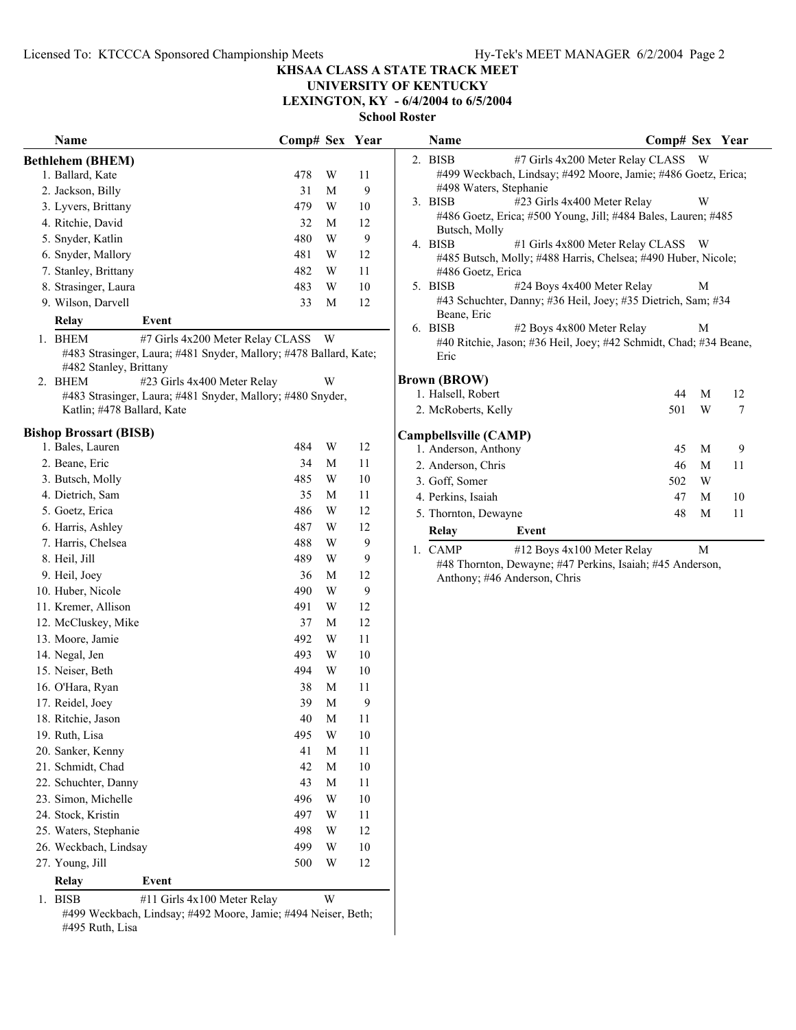# **UNIVERSITY OF KENTUCKY**

**LEXINGTON, KY - 6/4/2004 to 6/5/2004**

**School Roster**

| Name                                                                                        | Comp# Sex Year |                         |              | Name                         |                                                                  | Comp# Sex Year |              |                  |
|---------------------------------------------------------------------------------------------|----------------|-------------------------|--------------|------------------------------|------------------------------------------------------------------|----------------|--------------|------------------|
| <b>Bethlehem (BHEM)</b>                                                                     |                |                         |              | 2. BISB                      | #7 Girls 4x200 Meter Relay CLASS W                               |                |              |                  |
| 1. Ballard, Kate                                                                            | 478            | W                       | 11           |                              | #499 Weckbach, Lindsay; #492 Moore, Jamie; #486 Goetz, Erica;    |                |              |                  |
| 2. Jackson, Billy                                                                           | 31             | M                       | 9            | #498 Waters, Stephanie       |                                                                  |                |              |                  |
| 3. Lyvers, Brittany                                                                         | 479            | W                       | 10           | 3. BISB                      | #23 Girls 4x400 Meter Relay                                      |                | W            |                  |
| 4. Ritchie, David                                                                           | 32             | M                       | 12           |                              | #486 Goetz, Erica; #500 Young, Jill; #484 Bales, Lauren; #485    |                |              |                  |
| 5. Snyder, Katlin                                                                           | 480            | W                       | 9            | Butsch, Molly<br>4. BISB     | #1 Girls 4x800 Meter Relay CLASS W                               |                |              |                  |
| 6. Snyder, Mallory                                                                          | 481            | W                       | 12           |                              | #485 Butsch, Molly; #488 Harris, Chelsea; #490 Huber, Nicole;    |                |              |                  |
| 7. Stanley, Brittany                                                                        | 482            | W                       | 11           | #486 Goetz, Erica            |                                                                  |                |              |                  |
| 8. Strasinger, Laura                                                                        | 483            | $\mathbf W$             | $10\,$       | 5. BISB                      | #24 Boys 4x400 Meter Relay                                       |                | M            |                  |
| 9. Wilson, Darvell                                                                          | 33             | M                       | 12           |                              | #43 Schuchter, Danny; #36 Heil, Joey; #35 Dietrich, Sam; #34     |                |              |                  |
| <b>Relay</b><br>Event                                                                       |                |                         |              | Beane, Eric                  |                                                                  |                |              |                  |
| 1. BHEM<br>#7 Girls 4x200 Meter Relay CLASS                                                 |                | W <sub>\</sub>          |              | 6. BISB                      | #2 Boys 4x800 Meter Relay                                        |                | М            |                  |
| #483 Strasinger, Laura; #481 Snyder, Mallory; #478 Ballard, Kate;<br>#482 Stanley, Brittany |                |                         |              | Eric                         | #40 Ritchie, Jason; #36 Heil, Joey; #42 Schmidt, Chad; #34 Beane |                |              |                  |
| #23 Girls 4x400 Meter Relay<br>2. BHEM                                                      |                | W                       |              | <b>Brown (BROW)</b>          |                                                                  |                |              |                  |
| #483 Strasinger, Laura; #481 Snyder, Mallory; #480 Snyder,                                  |                |                         |              | 1. Halsell, Robert           |                                                                  | 44             | M            | 12               |
| Katlin; #478 Ballard, Kate                                                                  |                |                         |              | 2. McRoberts, Kelly          |                                                                  | 501            | W            | $\boldsymbol{7}$ |
| <b>Bishop Brossart (BISB)</b>                                                               |                |                         |              | Campbellsville (CAMP)        |                                                                  |                |              |                  |
| 1. Bales, Lauren                                                                            | 484            | W                       | 12           | 1. Anderson, Anthony         |                                                                  | 45             | M            | 9                |
| 2. Beane, Eric                                                                              | 34             | M                       | 11           | 2. Anderson, Chris           |                                                                  | 46             | M            | 11               |
| 3. Butsch, Molly                                                                            | 485            | W                       | 10           | 3. Goff, Somer               |                                                                  | 502            | W            |                  |
| 4. Dietrich, Sam                                                                            | 35             | M                       | 11           | 4. Perkins, Isaiah           |                                                                  | 47             | M            | 10               |
| 5. Goetz, Erica                                                                             | 486            | W                       | 12           | 5. Thornton, Dewayne         |                                                                  | 48             | M            | 11               |
| 6. Harris, Ashley                                                                           | 487            | W                       | 12           |                              |                                                                  |                |              |                  |
| 7. Harris, Chelsea                                                                          | 488            | W                       | 9            | Relay                        | Event                                                            |                |              |                  |
| 8. Heil, Jill                                                                               | 489            | W                       | 9            | 1. CAMP                      | #12 Boys 4x100 Meter Relay                                       |                | $\mathbf{M}$ |                  |
| 9. Heil, Joey                                                                               | 36             | M                       | 12           | Anthony; #46 Anderson, Chris | #48 Thornton, Dewayne; #47 Perkins, Isaiah; #45 Anderson,        |                |              |                  |
| 10. Huber, Nicole                                                                           | 490            | $\mathbf W$             | $\mathbf{9}$ |                              |                                                                  |                |              |                  |
| 11. Kremer, Allison                                                                         | 491            | W                       | 12           |                              |                                                                  |                |              |                  |
| 12. McCluskey, Mike                                                                         | 37             | M                       | 12           |                              |                                                                  |                |              |                  |
| 13. Moore, Jamie                                                                            | 492            | $\mathbf W$             | 11           |                              |                                                                  |                |              |                  |
| 14. Negal, Jen                                                                              | 493            | W                       | 10           |                              |                                                                  |                |              |                  |
| 15. Neiser, Beth                                                                            | 494            | W                       | 10           |                              |                                                                  |                |              |                  |
| 16. O'Hara, Ryan                                                                            | 38             | M                       | 11           |                              |                                                                  |                |              |                  |
| 17. Reidel, Joey                                                                            | 39             | M                       | 9            |                              |                                                                  |                |              |                  |
| 18. Ritchie, Jason                                                                          | 40             | $\mathbf M$             | 11           |                              |                                                                  |                |              |                  |
| 19. Ruth, Lisa                                                                              | 495            | $\mathbf W$             | 10           |                              |                                                                  |                |              |                  |
| 20. Sanker, Kenny                                                                           | 41             | $\mathbf M$             | 11           |                              |                                                                  |                |              |                  |
| 21. Schmidt, Chad                                                                           | 42             | M                       | 10           |                              |                                                                  |                |              |                  |
| 22. Schuchter, Danny                                                                        | 43             | M                       | 11           |                              |                                                                  |                |              |                  |
| 23. Simon, Michelle                                                                         | 496            | $\ensuremath{\text{W}}$ | 10           |                              |                                                                  |                |              |                  |
| 24. Stock, Kristin                                                                          | 497            | $\ensuremath{\text{W}}$ | 11           |                              |                                                                  |                |              |                  |
| 25. Waters, Stephanie                                                                       | 498            | W                       | 12           |                              |                                                                  |                |              |                  |
| 26. Weckbach, Lindsay                                                                       | 499            | W                       | 10           |                              |                                                                  |                |              |                  |
| 27. Young, Jill                                                                             | 500            | W                       | 12           |                              |                                                                  |                |              |                  |
|                                                                                             |                |                         |              |                              |                                                                  |                |              |                  |
| Relay<br>Event                                                                              |                |                         |              |                              |                                                                  |                |              |                  |

1. BISB #11 Girls 4x100 Meter Relay W

#499 Weckbach, Lindsay; #492 Moore, Jamie; #494 Neiser, Beth; #495 Ruth, Lisa

| Name                   |                                                                   | Comp# Sex Year |   |    |
|------------------------|-------------------------------------------------------------------|----------------|---|----|
| 2. BISB                | #7 Girls 4x200 Meter Relay CLASS W                                |                |   |    |
|                        | #499 Weckbach, Lindsay; #492 Moore, Jamie; #486 Goetz, Erica;     |                |   |    |
| #498 Waters, Stephanie |                                                                   |                |   |    |
| 3. BISB                | #23 Girls 4x400 Meter Relay                                       |                | W |    |
|                        | #486 Goetz, Erica; #500 Young, Jill; #484 Bales, Lauren; #485     |                |   |    |
| Butsch, Molly          |                                                                   |                |   |    |
| 4. BISB                | #1 Girls 4x800 Meter Relay CLASS W                                |                |   |    |
|                        | #485 Butsch, Molly; #488 Harris, Chelsea; #490 Huber, Nicole;     |                |   |    |
| #486 Goetz, Erica      |                                                                   |                |   |    |
| 5. BISB                | #24 Boys 4x400 Meter Relay                                        |                | М |    |
|                        | #43 Schuchter, Danny; #36 Heil, Joey; #35 Dietrich, Sam; #34      |                |   |    |
| Beane, Eric            |                                                                   |                |   |    |
| 6. BISB                | #2 Boys 4x800 Meter Relay                                         |                | М |    |
|                        | #40 Ritchie, Jason; #36 Heil, Joey; #42 Schmidt, Chad; #34 Beane, |                |   |    |
| Eric                   |                                                                   |                |   |    |
| <b>Brown (BROW)</b>    |                                                                   |                |   |    |
| 1. Halsell, Robert     |                                                                   | 44             | M | 12 |
| 2. McRoberts, Kelly    |                                                                   | 501            | W | 7  |
|                        |                                                                   |                |   |    |
| Campbellsville (CAMP)  |                                                                   |                |   |    |
| 1. Anderson, Anthony   |                                                                   | 45             | M | 9  |
| 2. Anderson, Chris     |                                                                   | 46             | M | 11 |
| 3. Goff, Somer         |                                                                   | 502 W          |   |    |
| 4. Perkins, Isaiah     |                                                                   | 47             | M | 10 |
| 5. Thornton, Dewayne   |                                                                   | 48             | M | 11 |
| Relay                  | Event                                                             |                |   |    |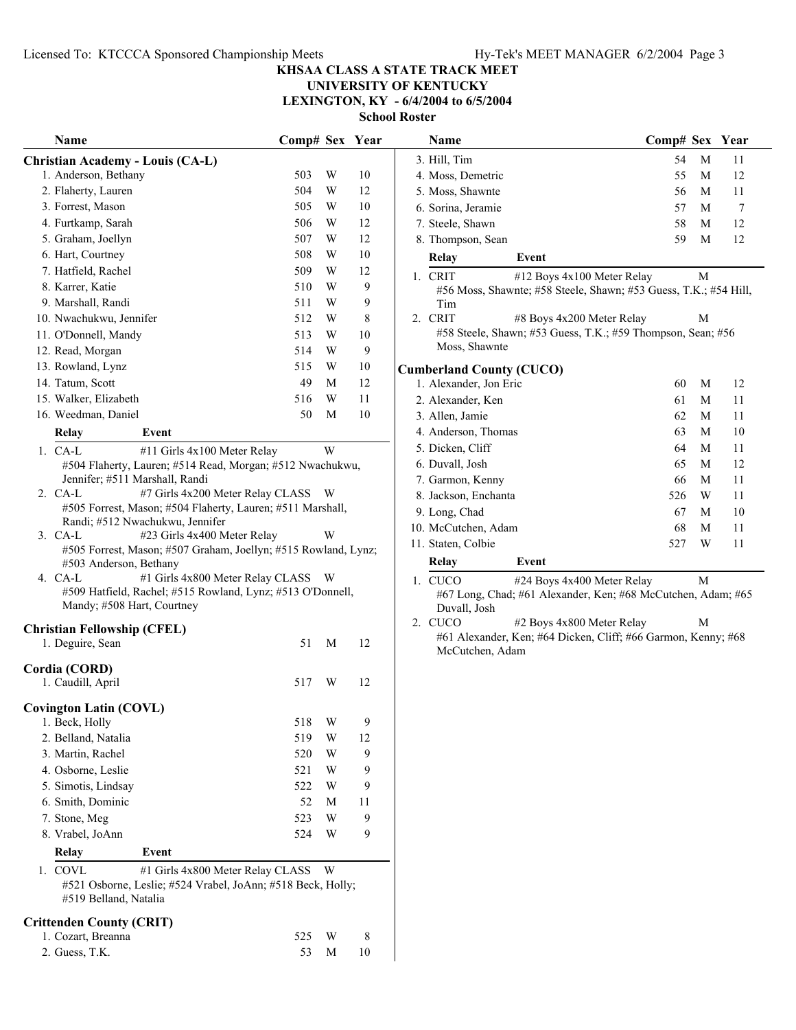**Name Comp# Sex Year** 

### **KHSAA CLASS A STATE TRACK MEET**

## **UNIVERSITY OF KENTUCKY**

**LEXINGTON, KY - 6/4/2004 to 6/5/2004**

**School Roster**

|    | Name                                                                          | Comp# Sex Year |   |    |
|----|-------------------------------------------------------------------------------|----------------|---|----|
|    | <b>Christian Academy - Louis (CA-L)</b>                                       |                |   |    |
|    | 1. Anderson, Bethany                                                          | 503            | W | 10 |
|    | 2. Flaherty, Lauren                                                           | 504            | W | 12 |
|    | 3. Forrest, Mason                                                             | 505            | W | 10 |
|    | 4. Furtkamp, Sarah                                                            | 506            | W | 12 |
|    | 5. Graham, Joellyn                                                            | 507            | W | 12 |
|    | 6. Hart, Courtney                                                             | 508            | W | 10 |
|    | 7. Hatfield, Rachel                                                           | 509            | W | 12 |
|    | 8. Karrer, Katie                                                              | 510            | W | 9  |
|    | 9. Marshall, Randi                                                            | 511            | W | 9  |
|    | 10. Nwachukwu, Jennifer                                                       | 512            | W | 8  |
|    | 11. O'Donnell, Mandy                                                          | 513            | W | 10 |
|    | 12. Read, Morgan                                                              | 514            | W | 9  |
|    | 13. Rowland, Lynz                                                             | 515            | W | 10 |
|    | 14. Tatum, Scott                                                              | 49             | М | 12 |
|    | 15. Walker, Elizabeth                                                         | 516            | W | 11 |
|    | 16. Weedman, Daniel                                                           | 50             | М | 10 |
|    | Event<br>Relay                                                                |                |   |    |
|    | 1. CA-L<br>#11 Girls 4x100 Meter Relay                                        |                | W |    |
|    | #504 Flaherty, Lauren; #514 Read, Morgan; #512 Nwachukwu,                     |                |   |    |
|    | Jennifer; #511 Marshall, Randi<br>2. CA-L<br>#7 Girls 4x200 Meter Relay CLASS |                |   |    |
|    | #505 Forrest, Mason; #504 Flaherty, Lauren; #511 Marshall,                    |                | W |    |
|    | Randi; #512 Nwachukwu, Jennifer                                               |                |   |    |
|    | 3. CA-L<br>#23 Girls 4x400 Meter Relay                                        |                | W |    |
|    | #505 Forrest, Mason; #507 Graham, Joellyn; #515 Rowland, Lynz;                |                |   |    |
|    | #503 Anderson, Bethany                                                        |                |   |    |
|    | #1 Girls 4x800 Meter Relay CLASS<br>4. CA-L                                   |                | W |    |
|    | #509 Hatfield, Rachel; #515 Rowland, Lynz; #513 O'Donnell,                    |                |   |    |
|    | Mandy; #508 Hart, Courtney                                                    |                |   |    |
|    | <b>Christian Fellowship (CFEL)</b>                                            |                |   |    |
|    | 1. Deguire, Sean                                                              | 51             | М | 12 |
|    | Cordia (CORD)                                                                 |                |   |    |
|    | 1. Caudill, April                                                             | 517            | W | 12 |
|    |                                                                               |                |   |    |
|    | <b>Covington Latin (COVL)</b>                                                 |                |   |    |
|    | 1. Beck, Holly                                                                | 518            | W | 9  |
|    | 2. Belland, Natalia                                                           | 519            | W | 12 |
|    | 3. Martin, Rachel                                                             | 520            | W | 9  |
|    | 4. Osborne, Leslie                                                            | 521            | W | 9  |
|    | 5. Simotis, Lindsay                                                           | 522            | W | 9  |
|    | 6. Smith, Dominic                                                             | 52             | M | 11 |
|    | 7. Stone, Meg                                                                 | 523            | W | 9  |
|    | 8. Vrabel, JoAnn                                                              | 524            | W | 9  |
|    | Event<br>Relay                                                                |                |   |    |
| 1. | COVL<br>#1 Girls 4x800 Meter Relay CLASS                                      |                | W |    |
|    | #521 Osborne, Leslie; #524 Vrabel, JoAnn; #518 Beck, Holly;                   |                |   |    |
|    | #519 Belland, Natalia                                                         |                |   |    |
|    | <b>Crittenden County (CRIT)</b>                                               |                |   |    |
|    | 1. Cozart, Breanna                                                            | 525            | W | 8  |
|    | 2. Guess, T.K.                                                                | 53             | М | 10 |

|             | 3. Hill, Tim                                                               |                                                                  | 54  | M | 11 |  |  |  |  |  |
|-------------|----------------------------------------------------------------------------|------------------------------------------------------------------|-----|---|----|--|--|--|--|--|
|             | 4. Moss, Demetric                                                          |                                                                  | 55  | M | 12 |  |  |  |  |  |
|             | 5. Moss, Shawnte                                                           |                                                                  | 56  | M | 11 |  |  |  |  |  |
|             | 6. Sorina, Jeramie                                                         |                                                                  | 57  | M | 7  |  |  |  |  |  |
|             | 7. Steele, Shawn                                                           |                                                                  | 58  | M | 12 |  |  |  |  |  |
|             | 8. Thompson, Sean                                                          |                                                                  | 59  | M | 12 |  |  |  |  |  |
|             | Relay                                                                      | Event                                                            |     |   |    |  |  |  |  |  |
|             | 1. CRIT                                                                    | #12 Boys 4x100 Meter Relay                                       |     | M |    |  |  |  |  |  |
|             | Tim                                                                        | #56 Moss, Shawnte; #58 Steele, Shawn; #53 Guess, T.K.; #54 Hill, |     |   |    |  |  |  |  |  |
| $2_{\cdot}$ | <b>CRIT</b>                                                                | #8 Boys 4x200 Meter Relay                                        |     | M |    |  |  |  |  |  |
|             |                                                                            | #58 Steele, Shawn; #53 Guess, T.K.; #59 Thompson, Sean; #56      |     |   |    |  |  |  |  |  |
|             | Moss, Shawnte                                                              |                                                                  |     |   |    |  |  |  |  |  |
|             | <b>Cumberland County (CUCO)</b><br>1. Alexander, Jon Eric<br>60<br>M<br>12 |                                                                  |     |   |    |  |  |  |  |  |
|             |                                                                            |                                                                  |     |   |    |  |  |  |  |  |
|             | 2. Alexander, Ken                                                          |                                                                  | 61  | M | 11 |  |  |  |  |  |
|             | 3. Allen, Jamie                                                            |                                                                  | 62  | M | 11 |  |  |  |  |  |
|             | 4. Anderson, Thomas                                                        |                                                                  | 63  | M | 10 |  |  |  |  |  |
|             | 5. Dicken, Cliff                                                           |                                                                  | 64  | M | 11 |  |  |  |  |  |
|             | 6. Duvall, Josh                                                            |                                                                  | 65  | M | 12 |  |  |  |  |  |
|             | 7. Garmon, Kenny                                                           |                                                                  | 66  | M | 11 |  |  |  |  |  |
|             | 8. Jackson, Enchanta                                                       |                                                                  | 526 | W | 11 |  |  |  |  |  |
|             | 9. Long, Chad                                                              |                                                                  | 67  | M | 10 |  |  |  |  |  |
|             | 10. McCutchen, Adam                                                        |                                                                  | 68  | M | 11 |  |  |  |  |  |
|             | 11. Staten, Colbie                                                         |                                                                  | 527 | W | 11 |  |  |  |  |  |
|             | Relay                                                                      | Event                                                            |     |   |    |  |  |  |  |  |

1. CUCO #24 Boys 4x400 Meter Relay M #67 Long, Chad; #61 Alexander, Ken; #68 McCutchen, Adam; #65 Duvall, Josh<br>2. CUCO

#2 Boys 4x800 Meter Relay M #61 Alexander, Ken; #64 Dicken, Cliff; #66 Garmon, Kenny; #68 McCutchen, Adam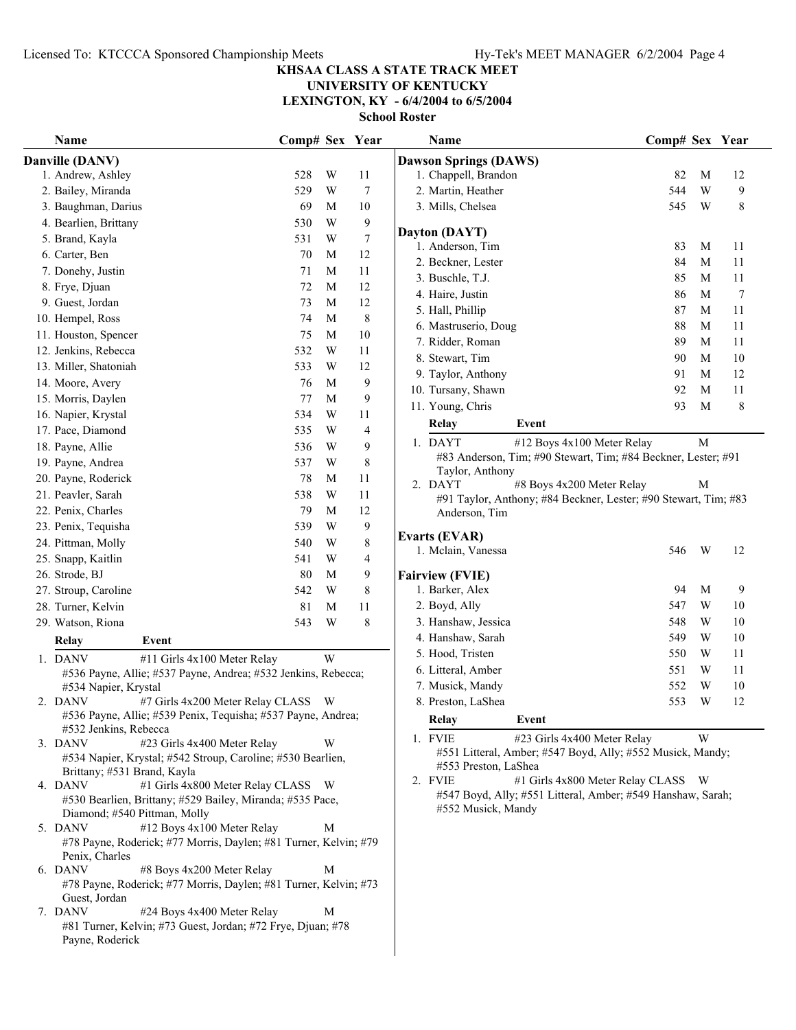## **UNIVERSITY OF KENTUCKY**

**LEXINGTON, KY - 6/4/2004 to 6/5/2004**

| Name                                                                                                          | Comp# Sex Year |        |                  | Name                                                                              | Comp# Sex Year |             |             |
|---------------------------------------------------------------------------------------------------------------|----------------|--------|------------------|-----------------------------------------------------------------------------------|----------------|-------------|-------------|
| Danville (DANV)                                                                                               |                |        |                  | <b>Dawson Springs (DAWS)</b>                                                      |                |             |             |
| 1. Andrew, Ashley                                                                                             | 528            | W      | 11               | 1. Chappell, Brandon                                                              | 82             | M           | 12          |
| 2. Bailey, Miranda                                                                                            | 529            | W      | 7                | 2. Martin, Heather                                                                | 544            | W           | 9           |
| 3. Baughman, Darius                                                                                           | 69             | M      | 10               | 3. Mills, Chelsea                                                                 | 545            | W           | 8           |
| 4. Bearlien, Brittany                                                                                         | 530            | W      | 9                |                                                                                   |                |             |             |
| 5. Brand, Kayla                                                                                               | 531            | W      | $\boldsymbol{7}$ | Dayton (DAYT)                                                                     |                |             |             |
| 6. Carter, Ben                                                                                                | 70             | M      | 12               | 1. Anderson, Tim                                                                  | 83             | M           | 11          |
| 7. Donehy, Justin                                                                                             | 71             | M      | 11               | 2. Beckner, Lester                                                                | 84             | M           | 11          |
| 8. Frye, Djuan                                                                                                | 72             | M      | 12               | 3. Buschle, T.J.                                                                  | 85             | M           | 11          |
| 9. Guest, Jordan                                                                                              | 73             | M      | 12               | 4. Haire, Justin                                                                  | 86             | M           | 7           |
| 10. Hempel, Ross                                                                                              | 74             | M      | $\,$ 8 $\,$      | 5. Hall, Phillip                                                                  | 87             | M           | 11          |
| 11. Houston, Spencer                                                                                          | 75             | M      | 10               | 6. Mastruserio, Doug                                                              | 88             | M           | 11          |
| 12. Jenkins, Rebecca                                                                                          | 532            | W      | 11               | 7. Ridder, Roman                                                                  | 89             | M           | 11          |
| 13. Miller, Shatoniah                                                                                         | 533            | W      | 12               | 8. Stewart, Tim                                                                   | 90             | M           | 10          |
| 14. Moore, Avery                                                                                              | 76             | M      | $\mathbf{9}$     | 9. Taylor, Anthony                                                                | 91             | M           | 12          |
| 15. Morris, Daylen                                                                                            | 77             | M      | 9                | 10. Tursany, Shawn                                                                | 92             | $\mathbf M$ | 11          |
| 16. Napier, Krystal                                                                                           | 534            | W      | 11               | 11. Young, Chris                                                                  | 93             | M           | $\,$ 8 $\,$ |
| 17. Pace, Diamond                                                                                             | 535            | W      | 4                | Relay<br>Event                                                                    |                |             |             |
| 18. Payne, Allie                                                                                              | 536            | W      | 9                | 1. DAYT<br>#12 Boys 4x100 Meter Relay                                             |                | $\mathbf M$ |             |
| 19. Payne, Andrea                                                                                             | 537            | W      | $\,$ 8 $\,$      | #83 Anderson, Tim; #90 Stewart, Tim; #84 Beckner, Lester; #91                     |                |             |             |
| 20. Payne, Roderick                                                                                           | 78             | M      | 11               | Taylor, Anthony                                                                   |                |             |             |
| 21. Peavler, Sarah                                                                                            | 538            | W      | 11               | 2. DAYT<br>#8 Boys 4x200 Meter Relay                                              |                | М           |             |
| 22. Penix, Charles                                                                                            | 79             | M      | 12               | #91 Taylor, Anthony; #84 Beckner, Lester; #90 Stewart, Tim; #83                   |                |             |             |
| 23. Penix, Tequisha                                                                                           | 539            | W      | $\boldsymbol{9}$ | Anderson, Tim                                                                     |                |             |             |
|                                                                                                               | 540            | W      | $\,$ 8 $\,$      | <b>Evarts (EVAR)</b>                                                              |                |             |             |
| 24. Pittman, Molly                                                                                            |                |        |                  | 1. Mclain, Vanessa                                                                | 546            | W           | 12          |
| 25. Snapp, Kaitlin                                                                                            | 541<br>80      | W<br>M | 4                |                                                                                   |                |             |             |
| 26. Strode, BJ                                                                                                |                |        | 9                | <b>Fairview (FVIE)</b>                                                            | 94             | M           |             |
| 27. Stroup, Caroline                                                                                          | 542            | W      | $\,$ 8 $\,$      | 1. Barker, Alex                                                                   |                |             | 9           |
| 28. Turner, Kelvin                                                                                            | 81             | M      | $11\,$           | 2. Boyd, Ally                                                                     | 547            | W           | 10          |
| 29. Watson, Riona                                                                                             | 543            | W      | $\,$ 8 $\,$      | 3. Hanshaw, Jessica                                                               | 548            | W           | 10          |
| <b>Relay</b><br>Event                                                                                         |                |        |                  | 4. Hanshaw, Sarah                                                                 | 549            | W           | $10\,$      |
| 1. DANV<br>#11 Girls 4x100 Meter Relay                                                                        |                | W      |                  | 5. Hood, Tristen                                                                  | 550            | W           | 11          |
| #536 Payne, Allie; #537 Payne, Andrea; #532 Jenkins, Rebecca;                                                 |                |        |                  | 6. Litteral, Amber                                                                | 551            | W           | 11          |
| #534 Napier, Krystal                                                                                          |                |        |                  | 7. Musick, Mandy                                                                  | 552            | W           | 10          |
| 2. DANV<br>#7 Girls 4x200 Meter Relay CLASS W<br>#536 Payne, Allie; #539 Penix, Tequisha; #537 Payne, Andrea; |                |        |                  | 8. Preston, LaShea                                                                | 553            | W           | 12          |
| #532 Jenkins, Rebecca                                                                                         |                |        |                  | Relay<br>Event                                                                    |                |             |             |
| 3. DANV<br>#23 Girls 4x400 Meter Relay                                                                        |                | W      |                  | 1. FVIE<br>#23 Girls 4x400 Meter Relay                                            |                | W           |             |
| #534 Napier, Krystal; #542 Stroup, Caroline; #530 Bearlien,                                                   |                |        |                  | #551 Litteral, Amber; #547 Boyd, Ally; #552 Musick, Mandy;                        |                |             |             |
| Brittany; #531 Brand, Kayla                                                                                   |                |        |                  | #553 Preston, LaShea                                                              |                |             |             |
| #1 Girls 4x800 Meter Relay CLASS W<br>4. DANV                                                                 |                |        |                  | #1 Girls 4x800 Meter Relay CLASS W<br>2. FVIE                                     |                |             |             |
| #530 Bearlien, Brittany; #529 Bailey, Miranda; #535 Pace,                                                     |                |        |                  | #547 Boyd, Ally; #551 Litteral, Amber; #549 Hanshaw, Sarah;<br>#552 Musick, Mandy |                |             |             |
| Diamond; #540 Pittman, Molly                                                                                  |                |        |                  |                                                                                   |                |             |             |
| #12 Boys 4x100 Meter Relay<br>5. DANV                                                                         |                | M      |                  |                                                                                   |                |             |             |
| #78 Payne, Roderick; #77 Morris, Daylen; #81 Turner, Kelvin; #79<br>Penix, Charles                            |                |        |                  |                                                                                   |                |             |             |
| 6. DANV<br>#8 Boys 4x200 Meter Relay                                                                          |                | M      |                  |                                                                                   |                |             |             |
| #78 Payne, Roderick; #77 Morris, Daylen; #81 Turner, Kelvin; #73                                              |                |        |                  |                                                                                   |                |             |             |
| Guest, Jordan                                                                                                 |                |        |                  |                                                                                   |                |             |             |
| 7. DANV<br>#24 Boys 4x400 Meter Relay                                                                         |                | M      |                  |                                                                                   |                |             |             |
| #81 Turner, Kelvin; #73 Guest, Jordan; #72 Frye, Djuan; #78<br>Payne, Roderick                                |                |        |                  |                                                                                   |                |             |             |
|                                                                                                               |                |        |                  |                                                                                   |                |             |             |
|                                                                                                               |                |        |                  |                                                                                   |                |             |             |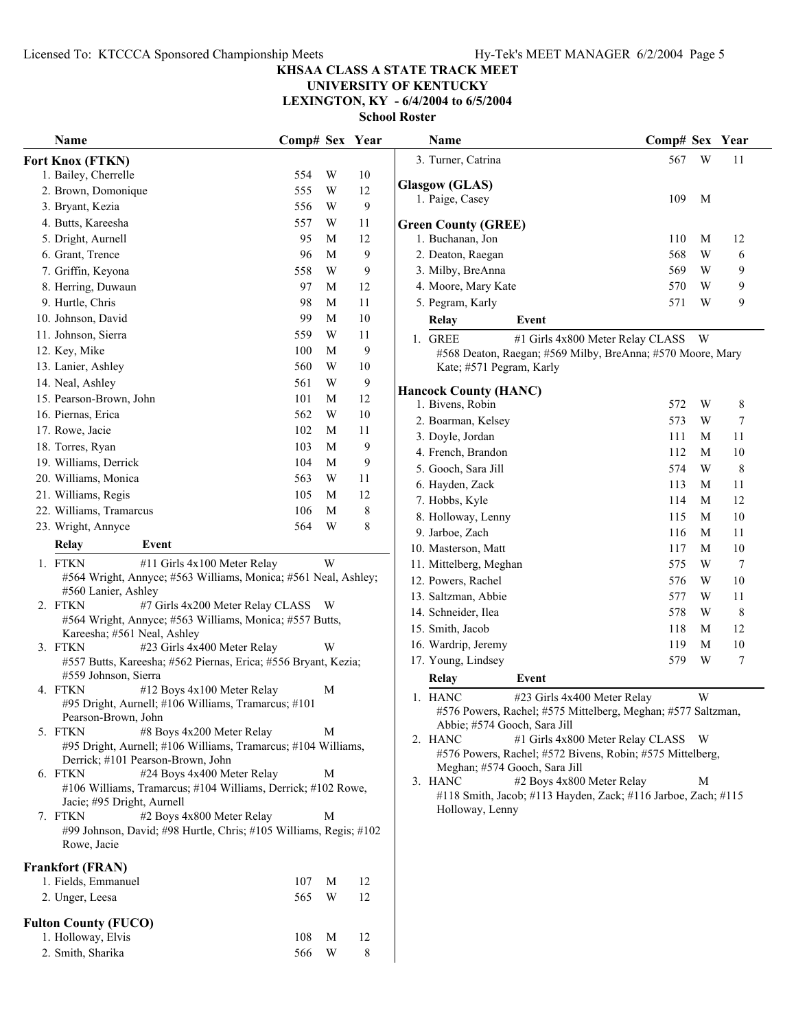## **UNIVERSITY OF KENTUCKY**

**LEXINGTON, KY - 6/4/2004 to 6/5/2004**

| Name                                                                                                      | Comp# Sex Year |   |              | Name                                                                                       | Comp# Sex Year |   |                  |
|-----------------------------------------------------------------------------------------------------------|----------------|---|--------------|--------------------------------------------------------------------------------------------|----------------|---|------------------|
| Fort Knox (FTKN)                                                                                          |                |   |              | 3. Turner, Catrina                                                                         | 567            | W | 11               |
| 1. Bailey, Cherrelle                                                                                      | 554            | W | $10\,$       |                                                                                            |                |   |                  |
| 2. Brown, Domonique                                                                                       | 555            | W | 12           | <b>Glasgow (GLAS)</b>                                                                      | 109            | M |                  |
| 3. Bryant, Kezia                                                                                          | 556            | W | $\mathbf{9}$ | 1. Paige, Casey                                                                            |                |   |                  |
| 4. Butts, Kareesha                                                                                        | 557            | W | 11           | <b>Green County (GREE)</b>                                                                 |                |   |                  |
| 5. Dright, Aurnell                                                                                        | 95             | M | 12           | 1. Buchanan, Jon                                                                           | 110            | M | 12               |
| 6. Grant, Trence                                                                                          | 96             | M | 9            | 2. Deaton, Raegan                                                                          | 568            | W | 6                |
| 7. Griffin, Keyona                                                                                        | 558            | W | 9            | 3. Milby, BreAnna                                                                          | 569            | W | 9                |
| 8. Herring, Duwaun                                                                                        | 97             | M | 12           | 4. Moore, Mary Kate                                                                        | 570            | W | 9                |
| 9. Hurtle, Chris                                                                                          | 98             | M | 11           | 5. Pegram, Karly                                                                           | 571            | W | 9                |
| 10. Johnson, David                                                                                        | 99             | M | $10\,$       | <b>Relay</b><br>Event                                                                      |                |   |                  |
| 11. Johnson, Sierra                                                                                       | 559            | W | 11           | 1. GREE<br>#1 Girls 4x800 Meter Relay CLASS W                                              |                |   |                  |
| 12. Key, Mike                                                                                             | 100            | M | $\mathbf{9}$ | #568 Deaton, Raegan; #569 Milby, BreAnna; #570 Moore, Mary                                 |                |   |                  |
| 13. Lanier, Ashley                                                                                        | 560            | W | $10\,$       | Kate; #571 Pegram, Karly                                                                   |                |   |                  |
| 14. Neal, Ashley                                                                                          | 561            | W | $\mathbf{9}$ |                                                                                            |                |   |                  |
| 15. Pearson-Brown, John                                                                                   | 101            | M | 12           | <b>Hancock County (HANC)</b>                                                               |                |   |                  |
| 16. Piernas, Erica                                                                                        | 562            | W | $10\,$       | 1. Bivens, Robin                                                                           | 572            | W | 8                |
| 17. Rowe, Jacie                                                                                           | 102            | M | 11           | 2. Boarman, Kelsey                                                                         | 573            | W | $\tau$           |
| 18. Torres, Ryan                                                                                          | 103            | M | 9            | 3. Doyle, Jordan                                                                           | 111            | M | 11               |
| 19. Williams, Derrick                                                                                     | 104            | M | 9            | 4. French, Brandon                                                                         | 112            | M | $10\,$           |
| 20. Williams, Monica                                                                                      | 563            | W | 11           | 5. Gooch, Sara Jill                                                                        | 574            | W | $\,$ 8 $\,$      |
| 21. Williams, Regis                                                                                       | 105            | M | 12           | 6. Hayden, Zack                                                                            | 113            | M | 11               |
| 22. Williams, Tramarcus                                                                                   | 106            | M | 8            | 7. Hobbs, Kyle                                                                             | 114            | M | 12               |
| 23. Wright, Annyce                                                                                        | 564            | W | 8            | 8. Holloway, Lenny                                                                         | 115            | M | $10\,$           |
| Relay<br>Event                                                                                            |                |   |              | 9. Jarboe, Zach                                                                            | 116            | M | 11               |
|                                                                                                           |                |   |              | 10. Masterson, Matt                                                                        | 117            | M | $10\,$           |
| 1. FTKN<br>#11 Girls 4x100 Meter Relay                                                                    |                | W |              | 11. Mittelberg, Meghan                                                                     | 575            | W | $\boldsymbol{7}$ |
| #564 Wright, Annyce; #563 Williams, Monica; #561 Neal, Ashley;<br>#560 Lanier, Ashley                     |                |   |              | 12. Powers, Rachel                                                                         | 576            | W | $10\,$           |
| 2. FTKN<br>#7 Girls 4x200 Meter Relay CLASS W                                                             |                |   |              | 13. Saltzman, Abbie                                                                        | 577            | W | 11               |
| #564 Wright, Annyce; #563 Williams, Monica; #557 Butts,                                                   |                |   |              | 14. Schneider, Ilea                                                                        | 578            | W | $\,8\,$          |
| Kareesha; #561 Neal, Ashley                                                                               |                |   |              | 15. Smith, Jacob                                                                           | 118            | M | 12               |
| #23 Girls 4x400 Meter Relay<br>3. FTKN                                                                    |                | W |              | 16. Wardrip, Jeremy                                                                        | 119            | M | 10               |
| #557 Butts, Kareesha; #562 Piernas, Erica; #556 Bryant, Kezia;                                            |                |   |              | 17. Young, Lindsey                                                                         | 579            | W | $\tau$           |
| #559 Johnson, Sierra                                                                                      |                |   |              | Relay<br>Event                                                                             |                |   |                  |
| 4. FTKN<br>#12 Boys 4x100 Meter Relay                                                                     |                | M |              | 1. HANC<br>#23 Girls 4x400 Meter Relay                                                     |                | W |                  |
| #95 Dright, Aurnell; #106 Williams, Tramarcus; #101<br>Pearson-Brown, John                                |                |   |              | #576 Powers, Rachel; #575 Mittelberg, Meghan; #577 Saltzman,                               |                |   |                  |
| #8 Boys 4x200 Meter Relay<br>5. FTKN                                                                      |                | M |              | Abbie; #574 Gooch, Sara Jill                                                               |                |   |                  |
| #95 Dright, Aurnell; #106 Williams, Tramarcus; #104 Williams,                                             |                |   |              | 2. HANC<br>#1 Girls 4x800 Meter Relay CLASS W                                              |                |   |                  |
| Derrick; #101 Pearson-Brown, John                                                                         |                |   |              | #576 Powers, Rachel; #572 Bivens, Robin; #575 Mittelberg,<br>Meghan; #574 Gooch, Sara Jill |                |   |                  |
| #24 Boys 4x400 Meter Relay<br>6. FTKN                                                                     |                | М |              | #2 Boys 4x800 Meter Relay<br>3. HANC                                                       |                | M |                  |
| #106 Williams, Tramarcus; #104 Williams, Derrick; #102 Rowe,                                              |                |   |              | #118 Smith, Jacob; #113 Hayden, Zack; #116 Jarboe, Zach; #115                              |                |   |                  |
| Jacie; #95 Dright, Aurnell                                                                                |                | M |              | Holloway, Lenny                                                                            |                |   |                  |
| 7. FTKN<br>#2 Boys 4x800 Meter Relay<br>#99 Johnson, David; #98 Hurtle, Chris; #105 Williams, Regis; #102 |                |   |              |                                                                                            |                |   |                  |
| Rowe, Jacie                                                                                               |                |   |              |                                                                                            |                |   |                  |
|                                                                                                           |                |   |              |                                                                                            |                |   |                  |
| <b>Frankfort (FRAN)</b>                                                                                   |                |   |              |                                                                                            |                |   |                  |
| 1. Fields, Emmanuel                                                                                       | 107            | M | 12           |                                                                                            |                |   |                  |
| 2. Unger, Leesa                                                                                           | 565            | W | 12           |                                                                                            |                |   |                  |
| <b>Fulton County (FUCO)</b>                                                                               |                |   |              |                                                                                            |                |   |                  |
| 1. Holloway, Elvis                                                                                        | 108            | M | 12           |                                                                                            |                |   |                  |
| 2. Smith, Sharika                                                                                         | 566            | W | 8            |                                                                                            |                |   |                  |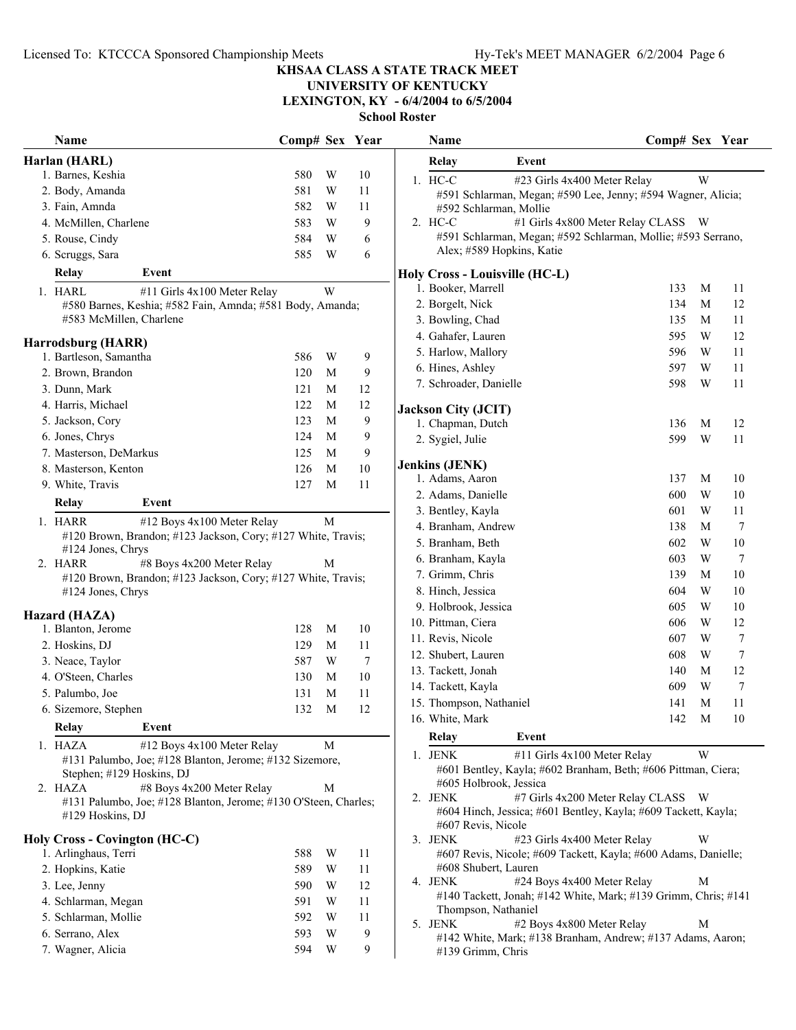**UNIVERSITY OF KENTUCKY**

**LEXINGTON, KY - 6/4/2004 to 6/5/2004**

| Harlan (HARL)<br>Relay<br>Event<br>1. Barnes, Keshia<br>580<br>W<br>10<br>1. HC-C<br>W<br>#23 Girls 4x400 Meter Relay<br>581<br>W<br>2. Body, Amanda<br>11<br>#591 Schlarman, Megan; #590 Lee, Jenny; #594 Wagner, Alicia;<br>3. Fain, Amnda<br>582<br>W<br>11<br>#592 Schlarman, Mollie<br>#1 Girls 4x800 Meter Relay CLASS W<br>W<br>9<br>2. HC-C<br>4. McMillen, Charlene<br>583<br>#591 Schlarman, Megan; #592 Schlarman, Mollie; #593 Serrano,<br>584<br>W<br>6<br>5. Rouse, Cindy<br>Alex; #589 Hopkins, Katie<br>585<br>W<br>6. Scruggs, Sara<br>6<br>Event<br><b>Relay</b><br>Holy Cross - Louisville (HC-L)<br>1. Booker, Marrell<br>133<br>M<br>11<br>1. HARL<br>W<br>#11 Girls 4x100 Meter Relay<br>M<br>12<br>2. Borgelt, Nick<br>134<br>#580 Barnes, Keshia; #582 Fain, Amnda; #581 Body, Amanda;<br>#583 McMillen, Charlene<br>3. Bowling, Chad<br>135<br>M<br>11<br>595<br>W<br>12<br>4. Gahafer, Lauren<br>Harrodsburg (HARR)<br>596<br>W<br>11<br>5. Harlow, Mallory<br>1. Bartleson, Samantha<br>586<br>W<br>9<br>W<br>6. Hines, Ashley<br>597<br>11<br>9<br>2. Brown, Brandon<br>120<br>M<br>598<br>W<br>7. Schroader, Danielle<br>11<br>3. Dunn, Mark<br>121<br>12<br>M<br>4. Harris, Michael<br>122<br>12<br>M<br><b>Jackson City (JCIT)</b><br>5. Jackson, Cory<br>9<br>123<br>M<br>1. Chapman, Dutch<br>M<br>12<br>136<br>6. Jones, Chrys<br>9<br>124<br>M<br>599<br>W<br>2. Sygiel, Julie<br>11<br>7. Masterson, DeMarkus<br>9<br>125<br>M<br><b>Jenkins (JENK)</b><br>10<br>8. Masterson, Kenton<br>126<br>M<br>1. Adams, Aaron<br>137<br>M<br>10<br>9. White, Travis<br>127<br>M<br>11<br>W<br>$10\,$<br>2. Adams, Danielle<br>600<br>Relay<br>Event<br>W<br>3. Bentley, Kayla<br>601<br>11<br>1. HARR<br>#12 Boys 4x100 Meter Relay<br>М<br>4. Branham, Andrew<br>$\overline{7}$<br>138<br>M<br>#120 Brown, Brandon; #123 Jackson, Cory; #127 White, Travis;<br>W<br>5. Branham, Beth<br>602<br>10<br>#124 Jones, Chrys<br>W<br>$\overline{7}$<br>6. Branham, Kayla<br>603<br>2. HARR<br>#8 Boys 4x200 Meter Relay<br>M<br>$10\,$<br>7. Grimm, Chris<br>139<br>M<br>#120 Brown, Brandon; #123 Jackson, Cory; #127 White, Travis;<br>10<br>8. Hinch, Jessica<br>604<br>W<br>#124 Jones, Chrys<br>9. Holbrook, Jessica<br>605<br>W<br>10<br>Hazard (HAZA)<br>10. Pittman, Ciera<br>W<br>12<br>606<br>1. Blanton, Jerome<br>128<br>M<br>10<br>$\tau$<br>11. Revis, Nicole<br>607<br>W<br>2. Hoskins, DJ<br>129<br>M<br>11<br>$\tau$<br>12. Shubert, Lauren<br>608<br>W<br>7<br>3. Neace, Taylor<br>587<br>W<br>13. Tackett, Jonah<br>12<br>140<br>М<br>4. O'Steen, Charles<br>130<br>10<br>M<br>W<br>$\tau$<br>14. Tackett, Kayla<br>609<br>5. Palumbo, Joe<br>11<br>131<br>M<br>15. Thompson, Nathaniel<br>141<br>M<br>11<br>12<br>132<br>6. Sizemore, Stephen<br>M<br>142<br>16. White, Mark<br>M<br>10<br>Relay<br>Event<br>Relay<br>Event<br>1. HAZA<br>#12 Boys 4x100 Meter Relay<br>M<br>1. JENK<br>#11 Girls 4x100 Meter Relay<br>W<br>#131 Palumbo, Joe; #128 Blanton, Jerome; #132 Sizemore,<br>#601 Bentley, Kayla; #602 Branham, Beth; #606 Pittman, Ciera;<br>Stephen; #129 Hoskins, DJ<br>#605 Holbrook, Jessica<br>2. HAZA<br>#8 Boys 4x200 Meter Relay<br>М<br>#7 Girls 4x200 Meter Relay CLASS W<br>2. JENK<br>#131 Palumbo, Joe; #128 Blanton, Jerome; #130 O'Steen, Charles;<br>#604 Hinch, Jessica; #601 Bentley, Kayla; #609 Tackett, Kayla;<br>#129 Hoskins, DJ<br>#607 Revis, Nicole<br><b>Holy Cross - Covington (HC-C)</b><br>#23 Girls 4x400 Meter Relay<br>3. JENK<br>W<br>1. Arlinghaus, Terri<br>588<br>W<br>11<br>#607 Revis, Nicole; #609 Tackett, Kayla; #600 Adams, Danielle;<br>#608 Shubert, Lauren<br>2. Hopkins, Katie<br>589<br>W<br>11<br>#24 Boys 4x400 Meter Relay<br>4. JENK<br>M<br>3. Lee, Jenny<br>590<br>W<br>12<br>#140 Tackett, Jonah; #142 White, Mark; #139 Grimm, Chris; #141<br>4. Schlarman, Megan<br>591<br>W<br>11<br>Thompson, Nathaniel<br>5. Schlarman, Mollie<br>592<br>W<br>11<br>5. JENK<br>#2 Boys 4x800 Meter Relay<br>M<br>9<br>6. Serrano, Alex<br>593<br>W<br>#142 White, Mark; #138 Branham, Andrew; #137 Adams, Aaron;<br>7. Wagner, Alicia<br>9<br>594<br>W<br>#139 Grimm, Chris | Name | Comp# Sex Year |  | Name | Comp# Sex Year |  |
|------------------------------------------------------------------------------------------------------------------------------------------------------------------------------------------------------------------------------------------------------------------------------------------------------------------------------------------------------------------------------------------------------------------------------------------------------------------------------------------------------------------------------------------------------------------------------------------------------------------------------------------------------------------------------------------------------------------------------------------------------------------------------------------------------------------------------------------------------------------------------------------------------------------------------------------------------------------------------------------------------------------------------------------------------------------------------------------------------------------------------------------------------------------------------------------------------------------------------------------------------------------------------------------------------------------------------------------------------------------------------------------------------------------------------------------------------------------------------------------------------------------------------------------------------------------------------------------------------------------------------------------------------------------------------------------------------------------------------------------------------------------------------------------------------------------------------------------------------------------------------------------------------------------------------------------------------------------------------------------------------------------------------------------------------------------------------------------------------------------------------------------------------------------------------------------------------------------------------------------------------------------------------------------------------------------------------------------------------------------------------------------------------------------------------------------------------------------------------------------------------------------------------------------------------------------------------------------------------------------------------------------------------------------------------------------------------------------------------------------------------------------------------------------------------------------------------------------------------------------------------------------------------------------------------------------------------------------------------------------------------------------------------------------------------------------------------------------------------------------------------------------------------------------------------------------------------------------------------------------------------------------------------------------------------------------------------------------------------------------------------------------------------------------------------------------------------------------------------------------------------------------------------------------------------------------------------------------------------------------------------------------------------------------------------------------------------------------------------------------------------------------------------------------------------------------------------------------------------------------------------------------------------------------------------------------------------------------------------------------------------------------------------------------------------------------------------------------------------------------------------------------------------------------------------|------|----------------|--|------|----------------|--|
|                                                                                                                                                                                                                                                                                                                                                                                                                                                                                                                                                                                                                                                                                                                                                                                                                                                                                                                                                                                                                                                                                                                                                                                                                                                                                                                                                                                                                                                                                                                                                                                                                                                                                                                                                                                                                                                                                                                                                                                                                                                                                                                                                                                                                                                                                                                                                                                                                                                                                                                                                                                                                                                                                                                                                                                                                                                                                                                                                                                                                                                                                                                                                                                                                                                                                                                                                                                                                                                                                                                                                                                                                                                                                                                                                                                                                                                                                                                                                                                                                                                                                                                                                                              |      |                |  |      |                |  |
|                                                                                                                                                                                                                                                                                                                                                                                                                                                                                                                                                                                                                                                                                                                                                                                                                                                                                                                                                                                                                                                                                                                                                                                                                                                                                                                                                                                                                                                                                                                                                                                                                                                                                                                                                                                                                                                                                                                                                                                                                                                                                                                                                                                                                                                                                                                                                                                                                                                                                                                                                                                                                                                                                                                                                                                                                                                                                                                                                                                                                                                                                                                                                                                                                                                                                                                                                                                                                                                                                                                                                                                                                                                                                                                                                                                                                                                                                                                                                                                                                                                                                                                                                                              |      |                |  |      |                |  |
|                                                                                                                                                                                                                                                                                                                                                                                                                                                                                                                                                                                                                                                                                                                                                                                                                                                                                                                                                                                                                                                                                                                                                                                                                                                                                                                                                                                                                                                                                                                                                                                                                                                                                                                                                                                                                                                                                                                                                                                                                                                                                                                                                                                                                                                                                                                                                                                                                                                                                                                                                                                                                                                                                                                                                                                                                                                                                                                                                                                                                                                                                                                                                                                                                                                                                                                                                                                                                                                                                                                                                                                                                                                                                                                                                                                                                                                                                                                                                                                                                                                                                                                                                                              |      |                |  |      |                |  |
|                                                                                                                                                                                                                                                                                                                                                                                                                                                                                                                                                                                                                                                                                                                                                                                                                                                                                                                                                                                                                                                                                                                                                                                                                                                                                                                                                                                                                                                                                                                                                                                                                                                                                                                                                                                                                                                                                                                                                                                                                                                                                                                                                                                                                                                                                                                                                                                                                                                                                                                                                                                                                                                                                                                                                                                                                                                                                                                                                                                                                                                                                                                                                                                                                                                                                                                                                                                                                                                                                                                                                                                                                                                                                                                                                                                                                                                                                                                                                                                                                                                                                                                                                                              |      |                |  |      |                |  |
|                                                                                                                                                                                                                                                                                                                                                                                                                                                                                                                                                                                                                                                                                                                                                                                                                                                                                                                                                                                                                                                                                                                                                                                                                                                                                                                                                                                                                                                                                                                                                                                                                                                                                                                                                                                                                                                                                                                                                                                                                                                                                                                                                                                                                                                                                                                                                                                                                                                                                                                                                                                                                                                                                                                                                                                                                                                                                                                                                                                                                                                                                                                                                                                                                                                                                                                                                                                                                                                                                                                                                                                                                                                                                                                                                                                                                                                                                                                                                                                                                                                                                                                                                                              |      |                |  |      |                |  |
|                                                                                                                                                                                                                                                                                                                                                                                                                                                                                                                                                                                                                                                                                                                                                                                                                                                                                                                                                                                                                                                                                                                                                                                                                                                                                                                                                                                                                                                                                                                                                                                                                                                                                                                                                                                                                                                                                                                                                                                                                                                                                                                                                                                                                                                                                                                                                                                                                                                                                                                                                                                                                                                                                                                                                                                                                                                                                                                                                                                                                                                                                                                                                                                                                                                                                                                                                                                                                                                                                                                                                                                                                                                                                                                                                                                                                                                                                                                                                                                                                                                                                                                                                                              |      |                |  |      |                |  |
|                                                                                                                                                                                                                                                                                                                                                                                                                                                                                                                                                                                                                                                                                                                                                                                                                                                                                                                                                                                                                                                                                                                                                                                                                                                                                                                                                                                                                                                                                                                                                                                                                                                                                                                                                                                                                                                                                                                                                                                                                                                                                                                                                                                                                                                                                                                                                                                                                                                                                                                                                                                                                                                                                                                                                                                                                                                                                                                                                                                                                                                                                                                                                                                                                                                                                                                                                                                                                                                                                                                                                                                                                                                                                                                                                                                                                                                                                                                                                                                                                                                                                                                                                                              |      |                |  |      |                |  |
|                                                                                                                                                                                                                                                                                                                                                                                                                                                                                                                                                                                                                                                                                                                                                                                                                                                                                                                                                                                                                                                                                                                                                                                                                                                                                                                                                                                                                                                                                                                                                                                                                                                                                                                                                                                                                                                                                                                                                                                                                                                                                                                                                                                                                                                                                                                                                                                                                                                                                                                                                                                                                                                                                                                                                                                                                                                                                                                                                                                                                                                                                                                                                                                                                                                                                                                                                                                                                                                                                                                                                                                                                                                                                                                                                                                                                                                                                                                                                                                                                                                                                                                                                                              |      |                |  |      |                |  |
|                                                                                                                                                                                                                                                                                                                                                                                                                                                                                                                                                                                                                                                                                                                                                                                                                                                                                                                                                                                                                                                                                                                                                                                                                                                                                                                                                                                                                                                                                                                                                                                                                                                                                                                                                                                                                                                                                                                                                                                                                                                                                                                                                                                                                                                                                                                                                                                                                                                                                                                                                                                                                                                                                                                                                                                                                                                                                                                                                                                                                                                                                                                                                                                                                                                                                                                                                                                                                                                                                                                                                                                                                                                                                                                                                                                                                                                                                                                                                                                                                                                                                                                                                                              |      |                |  |      |                |  |
|                                                                                                                                                                                                                                                                                                                                                                                                                                                                                                                                                                                                                                                                                                                                                                                                                                                                                                                                                                                                                                                                                                                                                                                                                                                                                                                                                                                                                                                                                                                                                                                                                                                                                                                                                                                                                                                                                                                                                                                                                                                                                                                                                                                                                                                                                                                                                                                                                                                                                                                                                                                                                                                                                                                                                                                                                                                                                                                                                                                                                                                                                                                                                                                                                                                                                                                                                                                                                                                                                                                                                                                                                                                                                                                                                                                                                                                                                                                                                                                                                                                                                                                                                                              |      |                |  |      |                |  |
|                                                                                                                                                                                                                                                                                                                                                                                                                                                                                                                                                                                                                                                                                                                                                                                                                                                                                                                                                                                                                                                                                                                                                                                                                                                                                                                                                                                                                                                                                                                                                                                                                                                                                                                                                                                                                                                                                                                                                                                                                                                                                                                                                                                                                                                                                                                                                                                                                                                                                                                                                                                                                                                                                                                                                                                                                                                                                                                                                                                                                                                                                                                                                                                                                                                                                                                                                                                                                                                                                                                                                                                                                                                                                                                                                                                                                                                                                                                                                                                                                                                                                                                                                                              |      |                |  |      |                |  |
|                                                                                                                                                                                                                                                                                                                                                                                                                                                                                                                                                                                                                                                                                                                                                                                                                                                                                                                                                                                                                                                                                                                                                                                                                                                                                                                                                                                                                                                                                                                                                                                                                                                                                                                                                                                                                                                                                                                                                                                                                                                                                                                                                                                                                                                                                                                                                                                                                                                                                                                                                                                                                                                                                                                                                                                                                                                                                                                                                                                                                                                                                                                                                                                                                                                                                                                                                                                                                                                                                                                                                                                                                                                                                                                                                                                                                                                                                                                                                                                                                                                                                                                                                                              |      |                |  |      |                |  |
|                                                                                                                                                                                                                                                                                                                                                                                                                                                                                                                                                                                                                                                                                                                                                                                                                                                                                                                                                                                                                                                                                                                                                                                                                                                                                                                                                                                                                                                                                                                                                                                                                                                                                                                                                                                                                                                                                                                                                                                                                                                                                                                                                                                                                                                                                                                                                                                                                                                                                                                                                                                                                                                                                                                                                                                                                                                                                                                                                                                                                                                                                                                                                                                                                                                                                                                                                                                                                                                                                                                                                                                                                                                                                                                                                                                                                                                                                                                                                                                                                                                                                                                                                                              |      |                |  |      |                |  |
|                                                                                                                                                                                                                                                                                                                                                                                                                                                                                                                                                                                                                                                                                                                                                                                                                                                                                                                                                                                                                                                                                                                                                                                                                                                                                                                                                                                                                                                                                                                                                                                                                                                                                                                                                                                                                                                                                                                                                                                                                                                                                                                                                                                                                                                                                                                                                                                                                                                                                                                                                                                                                                                                                                                                                                                                                                                                                                                                                                                                                                                                                                                                                                                                                                                                                                                                                                                                                                                                                                                                                                                                                                                                                                                                                                                                                                                                                                                                                                                                                                                                                                                                                                              |      |                |  |      |                |  |
|                                                                                                                                                                                                                                                                                                                                                                                                                                                                                                                                                                                                                                                                                                                                                                                                                                                                                                                                                                                                                                                                                                                                                                                                                                                                                                                                                                                                                                                                                                                                                                                                                                                                                                                                                                                                                                                                                                                                                                                                                                                                                                                                                                                                                                                                                                                                                                                                                                                                                                                                                                                                                                                                                                                                                                                                                                                                                                                                                                                                                                                                                                                                                                                                                                                                                                                                                                                                                                                                                                                                                                                                                                                                                                                                                                                                                                                                                                                                                                                                                                                                                                                                                                              |      |                |  |      |                |  |
|                                                                                                                                                                                                                                                                                                                                                                                                                                                                                                                                                                                                                                                                                                                                                                                                                                                                                                                                                                                                                                                                                                                                                                                                                                                                                                                                                                                                                                                                                                                                                                                                                                                                                                                                                                                                                                                                                                                                                                                                                                                                                                                                                                                                                                                                                                                                                                                                                                                                                                                                                                                                                                                                                                                                                                                                                                                                                                                                                                                                                                                                                                                                                                                                                                                                                                                                                                                                                                                                                                                                                                                                                                                                                                                                                                                                                                                                                                                                                                                                                                                                                                                                                                              |      |                |  |      |                |  |
|                                                                                                                                                                                                                                                                                                                                                                                                                                                                                                                                                                                                                                                                                                                                                                                                                                                                                                                                                                                                                                                                                                                                                                                                                                                                                                                                                                                                                                                                                                                                                                                                                                                                                                                                                                                                                                                                                                                                                                                                                                                                                                                                                                                                                                                                                                                                                                                                                                                                                                                                                                                                                                                                                                                                                                                                                                                                                                                                                                                                                                                                                                                                                                                                                                                                                                                                                                                                                                                                                                                                                                                                                                                                                                                                                                                                                                                                                                                                                                                                                                                                                                                                                                              |      |                |  |      |                |  |
|                                                                                                                                                                                                                                                                                                                                                                                                                                                                                                                                                                                                                                                                                                                                                                                                                                                                                                                                                                                                                                                                                                                                                                                                                                                                                                                                                                                                                                                                                                                                                                                                                                                                                                                                                                                                                                                                                                                                                                                                                                                                                                                                                                                                                                                                                                                                                                                                                                                                                                                                                                                                                                                                                                                                                                                                                                                                                                                                                                                                                                                                                                                                                                                                                                                                                                                                                                                                                                                                                                                                                                                                                                                                                                                                                                                                                                                                                                                                                                                                                                                                                                                                                                              |      |                |  |      |                |  |
|                                                                                                                                                                                                                                                                                                                                                                                                                                                                                                                                                                                                                                                                                                                                                                                                                                                                                                                                                                                                                                                                                                                                                                                                                                                                                                                                                                                                                                                                                                                                                                                                                                                                                                                                                                                                                                                                                                                                                                                                                                                                                                                                                                                                                                                                                                                                                                                                                                                                                                                                                                                                                                                                                                                                                                                                                                                                                                                                                                                                                                                                                                                                                                                                                                                                                                                                                                                                                                                                                                                                                                                                                                                                                                                                                                                                                                                                                                                                                                                                                                                                                                                                                                              |      |                |  |      |                |  |
|                                                                                                                                                                                                                                                                                                                                                                                                                                                                                                                                                                                                                                                                                                                                                                                                                                                                                                                                                                                                                                                                                                                                                                                                                                                                                                                                                                                                                                                                                                                                                                                                                                                                                                                                                                                                                                                                                                                                                                                                                                                                                                                                                                                                                                                                                                                                                                                                                                                                                                                                                                                                                                                                                                                                                                                                                                                                                                                                                                                                                                                                                                                                                                                                                                                                                                                                                                                                                                                                                                                                                                                                                                                                                                                                                                                                                                                                                                                                                                                                                                                                                                                                                                              |      |                |  |      |                |  |
|                                                                                                                                                                                                                                                                                                                                                                                                                                                                                                                                                                                                                                                                                                                                                                                                                                                                                                                                                                                                                                                                                                                                                                                                                                                                                                                                                                                                                                                                                                                                                                                                                                                                                                                                                                                                                                                                                                                                                                                                                                                                                                                                                                                                                                                                                                                                                                                                                                                                                                                                                                                                                                                                                                                                                                                                                                                                                                                                                                                                                                                                                                                                                                                                                                                                                                                                                                                                                                                                                                                                                                                                                                                                                                                                                                                                                                                                                                                                                                                                                                                                                                                                                                              |      |                |  |      |                |  |
|                                                                                                                                                                                                                                                                                                                                                                                                                                                                                                                                                                                                                                                                                                                                                                                                                                                                                                                                                                                                                                                                                                                                                                                                                                                                                                                                                                                                                                                                                                                                                                                                                                                                                                                                                                                                                                                                                                                                                                                                                                                                                                                                                                                                                                                                                                                                                                                                                                                                                                                                                                                                                                                                                                                                                                                                                                                                                                                                                                                                                                                                                                                                                                                                                                                                                                                                                                                                                                                                                                                                                                                                                                                                                                                                                                                                                                                                                                                                                                                                                                                                                                                                                                              |      |                |  |      |                |  |
|                                                                                                                                                                                                                                                                                                                                                                                                                                                                                                                                                                                                                                                                                                                                                                                                                                                                                                                                                                                                                                                                                                                                                                                                                                                                                                                                                                                                                                                                                                                                                                                                                                                                                                                                                                                                                                                                                                                                                                                                                                                                                                                                                                                                                                                                                                                                                                                                                                                                                                                                                                                                                                                                                                                                                                                                                                                                                                                                                                                                                                                                                                                                                                                                                                                                                                                                                                                                                                                                                                                                                                                                                                                                                                                                                                                                                                                                                                                                                                                                                                                                                                                                                                              |      |                |  |      |                |  |
|                                                                                                                                                                                                                                                                                                                                                                                                                                                                                                                                                                                                                                                                                                                                                                                                                                                                                                                                                                                                                                                                                                                                                                                                                                                                                                                                                                                                                                                                                                                                                                                                                                                                                                                                                                                                                                                                                                                                                                                                                                                                                                                                                                                                                                                                                                                                                                                                                                                                                                                                                                                                                                                                                                                                                                                                                                                                                                                                                                                                                                                                                                                                                                                                                                                                                                                                                                                                                                                                                                                                                                                                                                                                                                                                                                                                                                                                                                                                                                                                                                                                                                                                                                              |      |                |  |      |                |  |
|                                                                                                                                                                                                                                                                                                                                                                                                                                                                                                                                                                                                                                                                                                                                                                                                                                                                                                                                                                                                                                                                                                                                                                                                                                                                                                                                                                                                                                                                                                                                                                                                                                                                                                                                                                                                                                                                                                                                                                                                                                                                                                                                                                                                                                                                                                                                                                                                                                                                                                                                                                                                                                                                                                                                                                                                                                                                                                                                                                                                                                                                                                                                                                                                                                                                                                                                                                                                                                                                                                                                                                                                                                                                                                                                                                                                                                                                                                                                                                                                                                                                                                                                                                              |      |                |  |      |                |  |
|                                                                                                                                                                                                                                                                                                                                                                                                                                                                                                                                                                                                                                                                                                                                                                                                                                                                                                                                                                                                                                                                                                                                                                                                                                                                                                                                                                                                                                                                                                                                                                                                                                                                                                                                                                                                                                                                                                                                                                                                                                                                                                                                                                                                                                                                                                                                                                                                                                                                                                                                                                                                                                                                                                                                                                                                                                                                                                                                                                                                                                                                                                                                                                                                                                                                                                                                                                                                                                                                                                                                                                                                                                                                                                                                                                                                                                                                                                                                                                                                                                                                                                                                                                              |      |                |  |      |                |  |
|                                                                                                                                                                                                                                                                                                                                                                                                                                                                                                                                                                                                                                                                                                                                                                                                                                                                                                                                                                                                                                                                                                                                                                                                                                                                                                                                                                                                                                                                                                                                                                                                                                                                                                                                                                                                                                                                                                                                                                                                                                                                                                                                                                                                                                                                                                                                                                                                                                                                                                                                                                                                                                                                                                                                                                                                                                                                                                                                                                                                                                                                                                                                                                                                                                                                                                                                                                                                                                                                                                                                                                                                                                                                                                                                                                                                                                                                                                                                                                                                                                                                                                                                                                              |      |                |  |      |                |  |
|                                                                                                                                                                                                                                                                                                                                                                                                                                                                                                                                                                                                                                                                                                                                                                                                                                                                                                                                                                                                                                                                                                                                                                                                                                                                                                                                                                                                                                                                                                                                                                                                                                                                                                                                                                                                                                                                                                                                                                                                                                                                                                                                                                                                                                                                                                                                                                                                                                                                                                                                                                                                                                                                                                                                                                                                                                                                                                                                                                                                                                                                                                                                                                                                                                                                                                                                                                                                                                                                                                                                                                                                                                                                                                                                                                                                                                                                                                                                                                                                                                                                                                                                                                              |      |                |  |      |                |  |
|                                                                                                                                                                                                                                                                                                                                                                                                                                                                                                                                                                                                                                                                                                                                                                                                                                                                                                                                                                                                                                                                                                                                                                                                                                                                                                                                                                                                                                                                                                                                                                                                                                                                                                                                                                                                                                                                                                                                                                                                                                                                                                                                                                                                                                                                                                                                                                                                                                                                                                                                                                                                                                                                                                                                                                                                                                                                                                                                                                                                                                                                                                                                                                                                                                                                                                                                                                                                                                                                                                                                                                                                                                                                                                                                                                                                                                                                                                                                                                                                                                                                                                                                                                              |      |                |  |      |                |  |
|                                                                                                                                                                                                                                                                                                                                                                                                                                                                                                                                                                                                                                                                                                                                                                                                                                                                                                                                                                                                                                                                                                                                                                                                                                                                                                                                                                                                                                                                                                                                                                                                                                                                                                                                                                                                                                                                                                                                                                                                                                                                                                                                                                                                                                                                                                                                                                                                                                                                                                                                                                                                                                                                                                                                                                                                                                                                                                                                                                                                                                                                                                                                                                                                                                                                                                                                                                                                                                                                                                                                                                                                                                                                                                                                                                                                                                                                                                                                                                                                                                                                                                                                                                              |      |                |  |      |                |  |
|                                                                                                                                                                                                                                                                                                                                                                                                                                                                                                                                                                                                                                                                                                                                                                                                                                                                                                                                                                                                                                                                                                                                                                                                                                                                                                                                                                                                                                                                                                                                                                                                                                                                                                                                                                                                                                                                                                                                                                                                                                                                                                                                                                                                                                                                                                                                                                                                                                                                                                                                                                                                                                                                                                                                                                                                                                                                                                                                                                                                                                                                                                                                                                                                                                                                                                                                                                                                                                                                                                                                                                                                                                                                                                                                                                                                                                                                                                                                                                                                                                                                                                                                                                              |      |                |  |      |                |  |
|                                                                                                                                                                                                                                                                                                                                                                                                                                                                                                                                                                                                                                                                                                                                                                                                                                                                                                                                                                                                                                                                                                                                                                                                                                                                                                                                                                                                                                                                                                                                                                                                                                                                                                                                                                                                                                                                                                                                                                                                                                                                                                                                                                                                                                                                                                                                                                                                                                                                                                                                                                                                                                                                                                                                                                                                                                                                                                                                                                                                                                                                                                                                                                                                                                                                                                                                                                                                                                                                                                                                                                                                                                                                                                                                                                                                                                                                                                                                                                                                                                                                                                                                                                              |      |                |  |      |                |  |
|                                                                                                                                                                                                                                                                                                                                                                                                                                                                                                                                                                                                                                                                                                                                                                                                                                                                                                                                                                                                                                                                                                                                                                                                                                                                                                                                                                                                                                                                                                                                                                                                                                                                                                                                                                                                                                                                                                                                                                                                                                                                                                                                                                                                                                                                                                                                                                                                                                                                                                                                                                                                                                                                                                                                                                                                                                                                                                                                                                                                                                                                                                                                                                                                                                                                                                                                                                                                                                                                                                                                                                                                                                                                                                                                                                                                                                                                                                                                                                                                                                                                                                                                                                              |      |                |  |      |                |  |
|                                                                                                                                                                                                                                                                                                                                                                                                                                                                                                                                                                                                                                                                                                                                                                                                                                                                                                                                                                                                                                                                                                                                                                                                                                                                                                                                                                                                                                                                                                                                                                                                                                                                                                                                                                                                                                                                                                                                                                                                                                                                                                                                                                                                                                                                                                                                                                                                                                                                                                                                                                                                                                                                                                                                                                                                                                                                                                                                                                                                                                                                                                                                                                                                                                                                                                                                                                                                                                                                                                                                                                                                                                                                                                                                                                                                                                                                                                                                                                                                                                                                                                                                                                              |      |                |  |      |                |  |
|                                                                                                                                                                                                                                                                                                                                                                                                                                                                                                                                                                                                                                                                                                                                                                                                                                                                                                                                                                                                                                                                                                                                                                                                                                                                                                                                                                                                                                                                                                                                                                                                                                                                                                                                                                                                                                                                                                                                                                                                                                                                                                                                                                                                                                                                                                                                                                                                                                                                                                                                                                                                                                                                                                                                                                                                                                                                                                                                                                                                                                                                                                                                                                                                                                                                                                                                                                                                                                                                                                                                                                                                                                                                                                                                                                                                                                                                                                                                                                                                                                                                                                                                                                              |      |                |  |      |                |  |
|                                                                                                                                                                                                                                                                                                                                                                                                                                                                                                                                                                                                                                                                                                                                                                                                                                                                                                                                                                                                                                                                                                                                                                                                                                                                                                                                                                                                                                                                                                                                                                                                                                                                                                                                                                                                                                                                                                                                                                                                                                                                                                                                                                                                                                                                                                                                                                                                                                                                                                                                                                                                                                                                                                                                                                                                                                                                                                                                                                                                                                                                                                                                                                                                                                                                                                                                                                                                                                                                                                                                                                                                                                                                                                                                                                                                                                                                                                                                                                                                                                                                                                                                                                              |      |                |  |      |                |  |
|                                                                                                                                                                                                                                                                                                                                                                                                                                                                                                                                                                                                                                                                                                                                                                                                                                                                                                                                                                                                                                                                                                                                                                                                                                                                                                                                                                                                                                                                                                                                                                                                                                                                                                                                                                                                                                                                                                                                                                                                                                                                                                                                                                                                                                                                                                                                                                                                                                                                                                                                                                                                                                                                                                                                                                                                                                                                                                                                                                                                                                                                                                                                                                                                                                                                                                                                                                                                                                                                                                                                                                                                                                                                                                                                                                                                                                                                                                                                                                                                                                                                                                                                                                              |      |                |  |      |                |  |
|                                                                                                                                                                                                                                                                                                                                                                                                                                                                                                                                                                                                                                                                                                                                                                                                                                                                                                                                                                                                                                                                                                                                                                                                                                                                                                                                                                                                                                                                                                                                                                                                                                                                                                                                                                                                                                                                                                                                                                                                                                                                                                                                                                                                                                                                                                                                                                                                                                                                                                                                                                                                                                                                                                                                                                                                                                                                                                                                                                                                                                                                                                                                                                                                                                                                                                                                                                                                                                                                                                                                                                                                                                                                                                                                                                                                                                                                                                                                                                                                                                                                                                                                                                              |      |                |  |      |                |  |
|                                                                                                                                                                                                                                                                                                                                                                                                                                                                                                                                                                                                                                                                                                                                                                                                                                                                                                                                                                                                                                                                                                                                                                                                                                                                                                                                                                                                                                                                                                                                                                                                                                                                                                                                                                                                                                                                                                                                                                                                                                                                                                                                                                                                                                                                                                                                                                                                                                                                                                                                                                                                                                                                                                                                                                                                                                                                                                                                                                                                                                                                                                                                                                                                                                                                                                                                                                                                                                                                                                                                                                                                                                                                                                                                                                                                                                                                                                                                                                                                                                                                                                                                                                              |      |                |  |      |                |  |
|                                                                                                                                                                                                                                                                                                                                                                                                                                                                                                                                                                                                                                                                                                                                                                                                                                                                                                                                                                                                                                                                                                                                                                                                                                                                                                                                                                                                                                                                                                                                                                                                                                                                                                                                                                                                                                                                                                                                                                                                                                                                                                                                                                                                                                                                                                                                                                                                                                                                                                                                                                                                                                                                                                                                                                                                                                                                                                                                                                                                                                                                                                                                                                                                                                                                                                                                                                                                                                                                                                                                                                                                                                                                                                                                                                                                                                                                                                                                                                                                                                                                                                                                                                              |      |                |  |      |                |  |
|                                                                                                                                                                                                                                                                                                                                                                                                                                                                                                                                                                                                                                                                                                                                                                                                                                                                                                                                                                                                                                                                                                                                                                                                                                                                                                                                                                                                                                                                                                                                                                                                                                                                                                                                                                                                                                                                                                                                                                                                                                                                                                                                                                                                                                                                                                                                                                                                                                                                                                                                                                                                                                                                                                                                                                                                                                                                                                                                                                                                                                                                                                                                                                                                                                                                                                                                                                                                                                                                                                                                                                                                                                                                                                                                                                                                                                                                                                                                                                                                                                                                                                                                                                              |      |                |  |      |                |  |
|                                                                                                                                                                                                                                                                                                                                                                                                                                                                                                                                                                                                                                                                                                                                                                                                                                                                                                                                                                                                                                                                                                                                                                                                                                                                                                                                                                                                                                                                                                                                                                                                                                                                                                                                                                                                                                                                                                                                                                                                                                                                                                                                                                                                                                                                                                                                                                                                                                                                                                                                                                                                                                                                                                                                                                                                                                                                                                                                                                                                                                                                                                                                                                                                                                                                                                                                                                                                                                                                                                                                                                                                                                                                                                                                                                                                                                                                                                                                                                                                                                                                                                                                                                              |      |                |  |      |                |  |
|                                                                                                                                                                                                                                                                                                                                                                                                                                                                                                                                                                                                                                                                                                                                                                                                                                                                                                                                                                                                                                                                                                                                                                                                                                                                                                                                                                                                                                                                                                                                                                                                                                                                                                                                                                                                                                                                                                                                                                                                                                                                                                                                                                                                                                                                                                                                                                                                                                                                                                                                                                                                                                                                                                                                                                                                                                                                                                                                                                                                                                                                                                                                                                                                                                                                                                                                                                                                                                                                                                                                                                                                                                                                                                                                                                                                                                                                                                                                                                                                                                                                                                                                                                              |      |                |  |      |                |  |
|                                                                                                                                                                                                                                                                                                                                                                                                                                                                                                                                                                                                                                                                                                                                                                                                                                                                                                                                                                                                                                                                                                                                                                                                                                                                                                                                                                                                                                                                                                                                                                                                                                                                                                                                                                                                                                                                                                                                                                                                                                                                                                                                                                                                                                                                                                                                                                                                                                                                                                                                                                                                                                                                                                                                                                                                                                                                                                                                                                                                                                                                                                                                                                                                                                                                                                                                                                                                                                                                                                                                                                                                                                                                                                                                                                                                                                                                                                                                                                                                                                                                                                                                                                              |      |                |  |      |                |  |
|                                                                                                                                                                                                                                                                                                                                                                                                                                                                                                                                                                                                                                                                                                                                                                                                                                                                                                                                                                                                                                                                                                                                                                                                                                                                                                                                                                                                                                                                                                                                                                                                                                                                                                                                                                                                                                                                                                                                                                                                                                                                                                                                                                                                                                                                                                                                                                                                                                                                                                                                                                                                                                                                                                                                                                                                                                                                                                                                                                                                                                                                                                                                                                                                                                                                                                                                                                                                                                                                                                                                                                                                                                                                                                                                                                                                                                                                                                                                                                                                                                                                                                                                                                              |      |                |  |      |                |  |
|                                                                                                                                                                                                                                                                                                                                                                                                                                                                                                                                                                                                                                                                                                                                                                                                                                                                                                                                                                                                                                                                                                                                                                                                                                                                                                                                                                                                                                                                                                                                                                                                                                                                                                                                                                                                                                                                                                                                                                                                                                                                                                                                                                                                                                                                                                                                                                                                                                                                                                                                                                                                                                                                                                                                                                                                                                                                                                                                                                                                                                                                                                                                                                                                                                                                                                                                                                                                                                                                                                                                                                                                                                                                                                                                                                                                                                                                                                                                                                                                                                                                                                                                                                              |      |                |  |      |                |  |
|                                                                                                                                                                                                                                                                                                                                                                                                                                                                                                                                                                                                                                                                                                                                                                                                                                                                                                                                                                                                                                                                                                                                                                                                                                                                                                                                                                                                                                                                                                                                                                                                                                                                                                                                                                                                                                                                                                                                                                                                                                                                                                                                                                                                                                                                                                                                                                                                                                                                                                                                                                                                                                                                                                                                                                                                                                                                                                                                                                                                                                                                                                                                                                                                                                                                                                                                                                                                                                                                                                                                                                                                                                                                                                                                                                                                                                                                                                                                                                                                                                                                                                                                                                              |      |                |  |      |                |  |
|                                                                                                                                                                                                                                                                                                                                                                                                                                                                                                                                                                                                                                                                                                                                                                                                                                                                                                                                                                                                                                                                                                                                                                                                                                                                                                                                                                                                                                                                                                                                                                                                                                                                                                                                                                                                                                                                                                                                                                                                                                                                                                                                                                                                                                                                                                                                                                                                                                                                                                                                                                                                                                                                                                                                                                                                                                                                                                                                                                                                                                                                                                                                                                                                                                                                                                                                                                                                                                                                                                                                                                                                                                                                                                                                                                                                                                                                                                                                                                                                                                                                                                                                                                              |      |                |  |      |                |  |
|                                                                                                                                                                                                                                                                                                                                                                                                                                                                                                                                                                                                                                                                                                                                                                                                                                                                                                                                                                                                                                                                                                                                                                                                                                                                                                                                                                                                                                                                                                                                                                                                                                                                                                                                                                                                                                                                                                                                                                                                                                                                                                                                                                                                                                                                                                                                                                                                                                                                                                                                                                                                                                                                                                                                                                                                                                                                                                                                                                                                                                                                                                                                                                                                                                                                                                                                                                                                                                                                                                                                                                                                                                                                                                                                                                                                                                                                                                                                                                                                                                                                                                                                                                              |      |                |  |      |                |  |
|                                                                                                                                                                                                                                                                                                                                                                                                                                                                                                                                                                                                                                                                                                                                                                                                                                                                                                                                                                                                                                                                                                                                                                                                                                                                                                                                                                                                                                                                                                                                                                                                                                                                                                                                                                                                                                                                                                                                                                                                                                                                                                                                                                                                                                                                                                                                                                                                                                                                                                                                                                                                                                                                                                                                                                                                                                                                                                                                                                                                                                                                                                                                                                                                                                                                                                                                                                                                                                                                                                                                                                                                                                                                                                                                                                                                                                                                                                                                                                                                                                                                                                                                                                              |      |                |  |      |                |  |
|                                                                                                                                                                                                                                                                                                                                                                                                                                                                                                                                                                                                                                                                                                                                                                                                                                                                                                                                                                                                                                                                                                                                                                                                                                                                                                                                                                                                                                                                                                                                                                                                                                                                                                                                                                                                                                                                                                                                                                                                                                                                                                                                                                                                                                                                                                                                                                                                                                                                                                                                                                                                                                                                                                                                                                                                                                                                                                                                                                                                                                                                                                                                                                                                                                                                                                                                                                                                                                                                                                                                                                                                                                                                                                                                                                                                                                                                                                                                                                                                                                                                                                                                                                              |      |                |  |      |                |  |

|    | Relay                                    | Event                                                        |     |   |    |
|----|------------------------------------------|--------------------------------------------------------------|-----|---|----|
| 1. | HC-C                                     | #23 Girls 4x400 Meter Relay                                  |     | W |    |
|    | #592 Schlarman, Mollie                   | #591 Schlarman, Megan; #590 Lee, Jenny; #594 Wagner, Alicia; |     |   |    |
| 2. | HC-C                                     | #1 Girls 4x800 Meter Relay CLASS                             |     | W |    |
|    |                                          | #591 Schlarman, Megan; #592 Schlarman, Mollie; #593 Serrano, |     |   |    |
|    | Alex; #589 Hopkins, Katie                |                                                              |     |   |    |
|    | <b>Holy Cross - Louisville (HC-L)</b>    |                                                              |     |   |    |
|    | 1. Booker, Marrell                       |                                                              | 133 | М | 11 |
|    | 2. Borgelt, Nick                         |                                                              | 134 | М | 12 |
|    | 3. Bowling, Chad                         |                                                              | 135 | М | 11 |
|    | 4. Gahafer, Lauren                       |                                                              | 595 | W | 12 |
|    | 5. Harlow, Mallory                       |                                                              | 596 | W | 11 |
|    | 6. Hines, Ashley                         |                                                              | 597 | W | 11 |
|    | 7. Schroader, Danielle                   |                                                              | 598 | W | 11 |
|    | <b>Jackson City (JCIT)</b>               |                                                              |     |   |    |
|    | 1. Chapman, Dutch                        |                                                              | 136 | М | 12 |
|    | 2. Sygiel, Julie                         |                                                              | 599 | W | 11 |
|    |                                          |                                                              |     |   |    |
|    | <b>Jenkins (JENK)</b><br>1. Adams, Aaron |                                                              | 137 | М | 10 |
|    | 2. Adams, Danielle                       |                                                              | 600 | W | 10 |
|    | 3. Bentley, Kayla                        |                                                              | 601 | W | 11 |
|    | 4. Branham, Andrew                       |                                                              | 138 | М | 7  |
|    | 5. Branham, Beth                         |                                                              | 602 | W | 10 |
|    | 6. Branham, Kayla                        |                                                              | 603 | W | 7  |
|    | 7. Grimm, Chris                          |                                                              | 139 | М | 10 |
|    | 8. Hinch, Jessica                        |                                                              | 604 | W | 10 |
|    | 9. Holbrook, Jessica                     |                                                              | 605 | W | 10 |
|    | 10. Pittman, Ciera                       |                                                              | 606 | W | 12 |
|    | 11. Revis, Nicole                        |                                                              | 607 | W | 7  |
|    | 12. Shubert, Lauren                      |                                                              | 608 | W | 7  |
|    | 13. Tackett, Jonah                       |                                                              | 140 | М | 12 |
|    | 14. Tackett, Kayla                       |                                                              | 609 | W | 7  |
|    | 15. Thompson, Nathaniel                  |                                                              | 141 | М | 11 |
|    | 16. White, Mark                          |                                                              | 142 | М | 10 |
|    | Relay                                    | Event                                                        |     |   |    |
| 1. | <b>JENK</b>                              | #11 Girls 4x100 Meter Relay                                  |     | W |    |

- #601 Bentley, Kayla; #602 Branham, Beth; #606 Pittman, Ciera; 505 Holbrook, Jessica
- $\frac{47}{16}$  Girls 4x200 Meter Relay CLASS W #604 Hinch, Jessica; #601 Bentley, Kayla; #609 Tackett, Kayla; 507 Revis, Nicole
- $\frac{1}{23}$  Girls 4x400 Meter Relay W #607 Revis, Nicole; #609 Tackett, Kayla; #600 Adams, Danielle; 508 Shubert, Lauren
- $4.44$  Boys 4x400 Meter Relay M #140 Tackett, Jonah; #142 White, Mark; #139 Grimm, Chris; #141 hompson, Nathaniel
- NK #2 Boys 4x800 Meter Relay M #142 White, Mark; #138 Branham, Andrew; #137 Adams, Aaron; 139 Grimm, Chris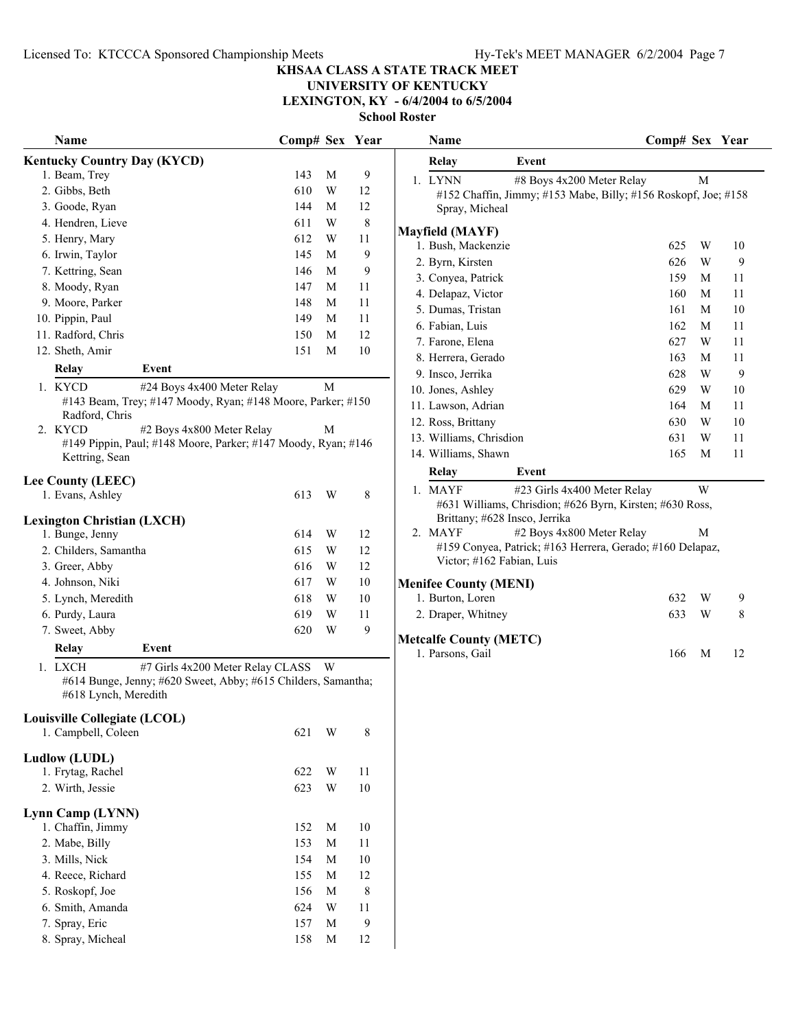Licensed To: KTCCCA Sponsored Championship Meets Hy-Tek's MEET MANAGER 6/2/2004 Page 7

## **KHSAA CLASS A STATE TRACK MEET**

# **UNIVERSITY OF KENTUCKY**

**LEXINGTON, KY - 6/4/2004 to 6/5/2004**

| Name             |                                                                                                                             | Comp# Sex Year |                         |                | Name                                                           | Comp# Sex Year |             |    |
|------------------|-----------------------------------------------------------------------------------------------------------------------------|----------------|-------------------------|----------------|----------------------------------------------------------------|----------------|-------------|----|
|                  | <b>Kentucky Country Day (KYCD)</b>                                                                                          |                |                         |                | <b>Relay</b><br>Event                                          |                |             |    |
| 1. Beam, Trey    |                                                                                                                             | 143            | M                       | 9              | 1. LYNN<br>#8 Boys 4x200 Meter Relay                           |                | $\mathbf M$ |    |
| 2. Gibbs, Beth   |                                                                                                                             | 610            | W                       | 12             | #152 Chaffin, Jimmy; #153 Mabe, Billy; #156 Roskopf, Joe; #158 |                |             |    |
|                  | 3. Goode, Ryan                                                                                                              | 144            | M                       | 12             | Spray, Micheal                                                 |                |             |    |
|                  | 4. Hendren, Lieve                                                                                                           | 611            | W                       | $\,$ 8 $\,$    |                                                                |                |             |    |
| 5. Henry, Mary   |                                                                                                                             | 612            | W                       | 11             | <b>Mayfield (MAYF)</b>                                         |                |             |    |
|                  | 6. Irwin, Taylor                                                                                                            | 145            | M                       | $\overline{9}$ | 1. Bush, Mackenzie                                             | 625            | W           | 10 |
|                  | 7. Kettring, Sean                                                                                                           | 146            | M                       | $\overline{9}$ | 2. Byrn, Kirsten                                               | 626            | W           | 9  |
|                  | 8. Moody, Ryan                                                                                                              | 147            | M                       | 11             | 3. Conyea, Patrick                                             | 159            | M           | 11 |
|                  | 9. Moore, Parker                                                                                                            | 148            | M                       | 11             | 4. Delapaz, Victor                                             | 160            | M           | 11 |
| 10. Pippin, Paul |                                                                                                                             | 149            | M                       | 11             | 5. Dumas, Tristan                                              | 161            | M           | 10 |
|                  | 11. Radford, Chris                                                                                                          | 150            | M                       | 12             | 6. Fabian, Luis                                                | 162            | M           | 11 |
| 12. Sheth, Amir  |                                                                                                                             | 151            | M                       | 10             | 7. Farone, Elena                                               | 627            | W           | 11 |
|                  |                                                                                                                             |                |                         |                | 8. Herrera, Gerado                                             | 163            | M           | 11 |
| <b>Relay</b>     | Event                                                                                                                       |                |                         |                | 9. Insco, Jerrika                                              | 628            | W           | 9  |
| 1. KYCD          | #24 Boys 4x400 Meter Relay                                                                                                  |                | $\mathbf M$             |                | 10. Jones, Ashley                                              | 629            | W           | 10 |
|                  | #143 Beam, Trey; #147 Moody, Ryan; #148 Moore, Parker; #150                                                                 |                |                         |                | 11. Lawson, Adrian                                             | 164            | M           | 11 |
| 2. KYCD          | Radford, Chris<br>#2 Boys 4x800 Meter Relay                                                                                 |                | M                       |                | 12. Ross, Brittany                                             | 630            | W           | 10 |
|                  | #149 Pippin, Paul; #148 Moore, Parker; #147 Moody, Ryan; #146                                                               |                |                         |                | 13. Williams, Chrisdion                                        | 631            | W           | 11 |
|                  | Kettring, Sean                                                                                                              |                |                         |                | 14. Williams, Shawn                                            | 165            | M           | 11 |
|                  |                                                                                                                             |                |                         |                | Event<br><b>Relay</b>                                          |                |             |    |
|                  | <b>Lee County (LEEC)</b>                                                                                                    |                |                         |                | 1. MAYF<br>#23 Girls 4x400 Meter Relay                         |                | W           |    |
|                  | 1. Evans, Ashley                                                                                                            | 613            | W                       | 8              | #631 Williams, Chrisdion; #626 Byrn, Kirsten; #630 Ross,       |                |             |    |
|                  | <b>Lexington Christian (LXCH)</b>                                                                                           |                |                         |                | Brittany; #628 Insco, Jerrika                                  |                |             |    |
|                  | 1. Bunge, Jenny                                                                                                             | 614            | W                       | 12             | 2. MAYF<br>#2 Boys 4x800 Meter Relay                           |                | M           |    |
|                  | 2. Childers, Samantha                                                                                                       | 615            | W                       | 12             | #159 Conyea, Patrick; #163 Herrera, Gerado; #160 Delapaz,      |                |             |    |
| 3. Greer, Abby   |                                                                                                                             | 616            | W                       | 12             | Victor; #162 Fabian, Luis                                      |                |             |    |
|                  | 4. Johnson, Niki                                                                                                            | 617            | W                       | $10\,$         | <b>Menifee County (MENI)</b>                                   |                |             |    |
|                  | 5. Lynch, Meredith                                                                                                          | 618            | W                       | $10\,$         | 1. Burton, Loren                                               | 632            | W           | 9  |
| 6. Purdy, Laura  |                                                                                                                             | 619            | W                       | 11             | 2. Draper, Whitney                                             | 633            | W           | 8  |
| 7. Sweet, Abby   |                                                                                                                             | 620            | W                       | 9              |                                                                |                |             |    |
|                  | Event                                                                                                                       |                |                         |                | <b>Metcalfe County (METC)</b>                                  |                |             |    |
| <b>Relay</b>     |                                                                                                                             |                |                         |                | 1. Parsons, Gail                                               | 166            | M           | 12 |
| 1. LXCH          | #7 Girls 4x200 Meter Relay CLASS W<br>#614 Bunge, Jenny; #620 Sweet, Abby; #615 Childers, Samantha;<br>#618 Lynch, Meredith |                |                         |                |                                                                |                |             |    |
|                  | Louisville Collegiate (LCOL)                                                                                                |                |                         |                |                                                                |                |             |    |
|                  | 1. Campbell, Coleen                                                                                                         | 621 W          |                         | 8              |                                                                |                |             |    |
| Ludlow (LUDL)    |                                                                                                                             |                |                         |                |                                                                |                |             |    |
|                  | 1. Frytag, Rachel                                                                                                           | 622            | W                       | 11             |                                                                |                |             |    |
| 2. Wirth, Jessie |                                                                                                                             | 623            | W                       | $10\,$         |                                                                |                |             |    |
|                  |                                                                                                                             |                |                         |                |                                                                |                |             |    |
|                  | Lynn Camp (LYNN)                                                                                                            |                |                         |                |                                                                |                |             |    |
|                  | 1. Chaffin, Jimmy                                                                                                           | 152            | M                       | 10             |                                                                |                |             |    |
| 2. Mabe, Billy   |                                                                                                                             | 153            | M                       | 11             |                                                                |                |             |    |
| 3. Mills, Nick   |                                                                                                                             | 154            | M                       | $10\,$         |                                                                |                |             |    |
|                  | 4. Reece, Richard                                                                                                           | 155            | M                       | 12             |                                                                |                |             |    |
|                  | 5. Roskopf, Joe                                                                                                             | 156            | M                       | $8\phantom{1}$ |                                                                |                |             |    |
|                  | 6. Smith, Amanda                                                                                                            | 624            | $\ensuremath{\text{W}}$ | 11             |                                                                |                |             |    |
| 7. Spray, Eric   |                                                                                                                             | 157            | M                       | 9              |                                                                |                |             |    |
|                  | 8. Spray, Micheal                                                                                                           | 158            | M                       | 12             |                                                                |                |             |    |
|                  |                                                                                                                             |                |                         |                |                                                                |                |             |    |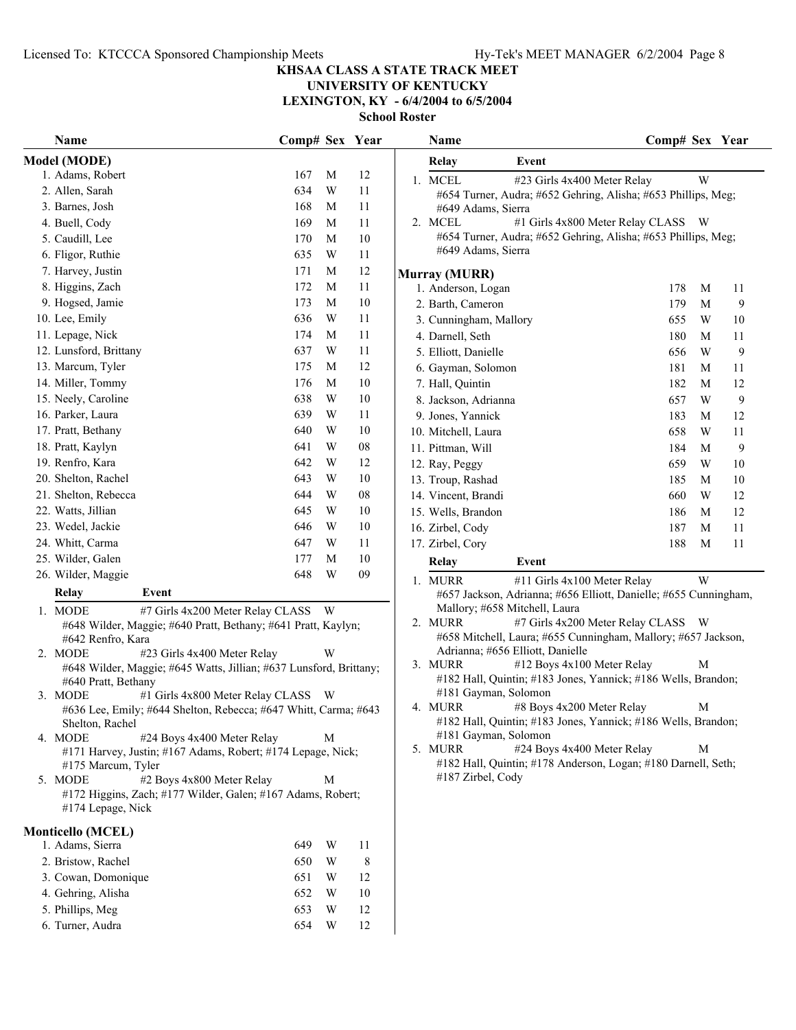## **KHSAA CLASS A STATE TRACK MEET**

# **UNIVERSITY OF KENTUCKY**

**LEXINGTON, KY - 6/4/2004 to 6/5/2004**

| Model (MODE)<br><b>Relay</b><br>Event<br>1. Adams, Robert<br>167<br>M<br>12<br>1. MCEL<br>#23 Girls 4x400 Meter Relay<br>634<br>W<br>11<br>2. Allen, Sarah<br>#654 Turner, Audra; #652 Gehring, Alisha; #653 Phillips, Meg;<br>168<br>11<br>3. Barnes, Josh<br>M |     | W |    |
|------------------------------------------------------------------------------------------------------------------------------------------------------------------------------------------------------------------------------------------------------------------|-----|---|----|
|                                                                                                                                                                                                                                                                  |     |   |    |
|                                                                                                                                                                                                                                                                  |     |   |    |
|                                                                                                                                                                                                                                                                  |     |   |    |
| #649 Adams, Sierra                                                                                                                                                                                                                                               |     |   |    |
| 169<br>11<br>2. MCEL<br>#1 Girls 4x800 Meter Relay CLASS W<br>4. Buell, Cody<br>M                                                                                                                                                                                |     |   |    |
| #654 Turner, Audra; #652 Gehring, Alisha; #653 Phillips, Meg;<br>$10\,$<br>5. Caudill, Lee<br>170<br>M                                                                                                                                                           |     |   |    |
| #649 Adams, Sierra<br>635<br>W<br>11<br>6. Fligor, Ruthie                                                                                                                                                                                                        |     |   |    |
| 12<br>7. Harvey, Justin<br>171<br>M<br><b>Murray (MURR)</b>                                                                                                                                                                                                      |     |   |    |
| 11<br>8. Higgins, Zach<br>172<br>M<br>1. Anderson, Logan                                                                                                                                                                                                         | 178 | M | 11 |
| $10\,$<br>9. Hogsed, Jamie<br>173<br>M<br>2. Barth, Cameron                                                                                                                                                                                                      | 179 | M | 9  |
| 10. Lee, Emily<br>636<br>W<br>11<br>3. Cunningham, Mallory                                                                                                                                                                                                       | 655 | W | 10 |
| 11. Lepage, Nick<br>174<br>M<br>11<br>4. Darnell, Seth                                                                                                                                                                                                           | 180 | M | 11 |
| 12. Lunsford, Brittany<br>637<br>W<br>11<br>5. Elliott, Danielle                                                                                                                                                                                                 | 656 | W | 9  |
| 13. Marcum, Tyler<br>12<br>175<br>M<br>6. Gayman, Solomon                                                                                                                                                                                                        | 181 | M | 11 |
| 14. Miller, Tommy<br>176<br>M<br>10<br>7. Hall, Quintin                                                                                                                                                                                                          | 182 | M | 12 |
| 15. Neely, Caroline<br>638<br>W<br>10<br>8. Jackson, Adrianna                                                                                                                                                                                                    | 657 | W | 9  |
| 639<br>16. Parker, Laura<br>W<br>11<br>9. Jones, Yannick                                                                                                                                                                                                         | 183 | M | 12 |
| 640<br>$10\,$<br>17. Pratt, Bethany<br>W<br>10. Mitchell, Laura                                                                                                                                                                                                  | 658 | W | 11 |
| W<br>08<br>18. Pratt, Kaylyn<br>641<br>11. Pittman, Will                                                                                                                                                                                                         | 184 | M | 9  |
| 12<br>19. Renfro, Kara<br>642<br>W<br>12. Ray, Peggy                                                                                                                                                                                                             | 659 | W | 10 |
| W<br>$10\,$<br>20. Shelton, Rachel<br>643<br>13. Troup, Rashad                                                                                                                                                                                                   | 185 | M | 10 |
| ${\bf 08}$<br>21. Shelton, Rebecca<br>644<br>W<br>14. Vincent, Brandi                                                                                                                                                                                            | 660 | W | 12 |
| 645<br>$10\,$<br>22. Watts, Jillian<br>W<br>15. Wells, Brandon                                                                                                                                                                                                   | 186 | M | 12 |
| W<br>$10\,$<br>23. Wedel, Jackie<br>646<br>16. Zirbel, Cody                                                                                                                                                                                                      | 187 | M | 11 |
| 24. Whitt, Carma<br>647<br>W<br>11<br>17. Zirbel, Cory                                                                                                                                                                                                           | 188 | M | 11 |
| $10\,$<br>25. Wilder, Galen<br>177<br>M<br>Relay<br>Event                                                                                                                                                                                                        |     |   |    |
| 648<br>W<br>09<br>26. Wilder, Maggie                                                                                                                                                                                                                             |     |   |    |
| 1. MURR<br>#11 Girls 4x100 Meter Relay<br>Relay<br>Event                                                                                                                                                                                                         |     | W |    |
| #657 Jackson, Adrianna; #656 Elliott, Danielle; #655 Cunningham,<br>Mallory; #658 Mitchell, Laura                                                                                                                                                                |     |   |    |
| 1. MODE<br>#7 Girls 4x200 Meter Relay CLASS<br>- W<br>2. MURR<br>#7 Girls 4x200 Meter Relay CLASS W                                                                                                                                                              |     |   |    |
| #648 Wilder, Maggie; #640 Pratt, Bethany; #641 Pratt, Kaylyn;<br>#658 Mitchell, Laura; #655 Cunningham, Mallory; #657 Jackson,<br>#642 Renfro, Kara                                                                                                              |     |   |    |
| Adrianna; #656 Elliott, Danielle<br>2. MODE<br>#23 Girls 4x400 Meter Relay<br>W                                                                                                                                                                                  |     |   |    |
| 3. MURR<br>#12 Boys 4x100 Meter Relay<br>#648 Wilder, Maggie; #645 Watts, Jillian; #637 Lunsford, Brittany;                                                                                                                                                      |     | M |    |
| #182 Hall, Quintin; #183 Jones, Yannick; #186 Wells, Brandon;<br>#640 Pratt, Bethany                                                                                                                                                                             |     |   |    |
| #181 Gayman, Solomon<br>3. MODE<br>#1 Girls 4x800 Meter Relay CLASS W                                                                                                                                                                                            |     |   |    |
| 4. MURR<br>#8 Boys 4x200 Meter Relay<br>#636 Lee, Emily; #644 Shelton, Rebecca; #647 Whitt, Carma; #643                                                                                                                                                          |     | М |    |
| #182 Hall, Quintin; #183 Jones, Yannick; #186 Wells, Brandon;<br>Shelton, Rachel<br>#181 Gayman, Solomon                                                                                                                                                         |     |   |    |
| 4. MODE<br>#24 Boys 4x400 Meter Relay<br>M<br>5. MURR<br>#24 Boys 4x400 Meter Relay                                                                                                                                                                              |     | M |    |
| #171 Harvey, Justin; #167 Adams, Robert; #174 Lepage, Nick;<br>#182 Hall, Quintin; #178 Anderson, Logan; #180 Darnell, Seth;<br>#175 Marcum, Tyler                                                                                                               |     |   |    |
| #187 Zirbel, Cody<br>5. MODE<br>#2 Boys 4x800 Meter Relay<br>M                                                                                                                                                                                                   |     |   |    |
| #172 Higgins, Zach; #177 Wilder, Galen; #167 Adams, Robert;<br>#174 Lepage, Nick                                                                                                                                                                                 |     |   |    |
| <b>Monticello (MCEL)</b>                                                                                                                                                                                                                                         |     |   |    |
| 1. Adams, Sierra<br>649<br>W<br>11                                                                                                                                                                                                                               |     |   |    |
| $8\phantom{1}$<br>2. Bristow, Rachel<br>650<br>W                                                                                                                                                                                                                 |     |   |    |
| 3. Cowan, Domonique<br>12<br>651<br>W                                                                                                                                                                                                                            |     |   |    |
| 4. Gehring, Alisha<br>$10\,$<br>652<br>W                                                                                                                                                                                                                         |     |   |    |
| 5. Phillips, Meg<br>12<br>W<br>653                                                                                                                                                                                                                               |     |   |    |
| 6. Turner, Audra<br>12<br>654<br>W                                                                                                                                                                                                                               |     |   |    |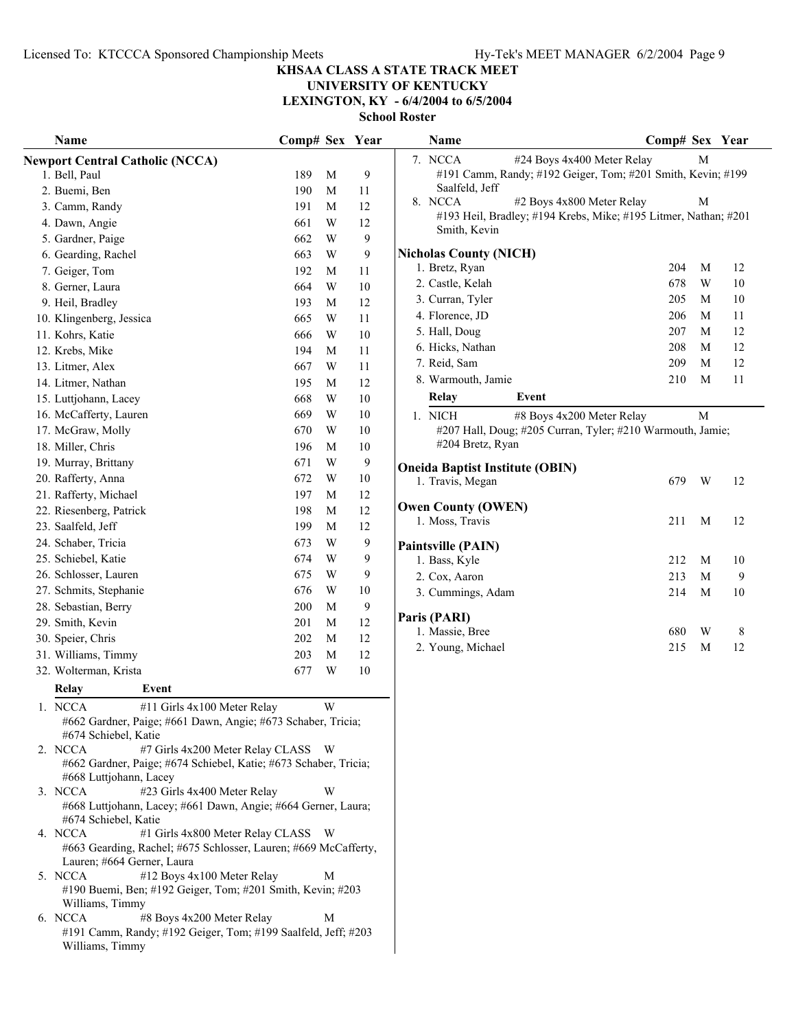# **UNIVERSITY OF KENTUCKY**

**LEXINGTON, KY - 6/4/2004 to 6/5/2004**

| Name                                                                                       | Comp# Sex Year |              |                | Name                                                                            | Comp# Sex Year |   |        |
|--------------------------------------------------------------------------------------------|----------------|--------------|----------------|---------------------------------------------------------------------------------|----------------|---|--------|
| <b>Newport Central Catholic (NCCA)</b>                                                     |                |              |                | 7. NCCA<br>#24 Boys 4x400 Meter Relay                                           |                | М |        |
| 1. Bell, Paul                                                                              | 189            | M            | 9              | #191 Camm, Randy; #192 Geiger, Tom; #201 Smith, Kevin; #199                     |                |   |        |
| 2. Buemi, Ben                                                                              | 190            | M            | 11             | Saalfeld, Jeff                                                                  |                |   |        |
| 3. Camm, Randy                                                                             | 191            | M            | 12             | 8. NCCA<br>#2 Boys 4x800 Meter Relay                                            |                | M |        |
| 4. Dawn, Angie                                                                             | 661            | W            | 12             | #193 Heil, Bradley; #194 Krebs, Mike; #195 Litmer, Nathan; #201<br>Smith, Kevin |                |   |        |
| 5. Gardner, Paige                                                                          | 662            | W            | $\mathbf{9}$   |                                                                                 |                |   |        |
| 6. Gearding, Rachel                                                                        | 663            | W            | $\mathbf{9}$   | <b>Nicholas County (NICH)</b>                                                   |                |   |        |
| 7. Geiger, Tom                                                                             | 192            | M            | 11             | 1. Bretz, Ryan                                                                  | 204            | M | 12     |
| 8. Gerner, Laura                                                                           | 664            | W            | $10\,$         | 2. Castle, Kelah                                                                | 678            | W | $10\,$ |
| 9. Heil, Bradley                                                                           | 193            | M            | 12             | 3. Curran, Tyler                                                                | 205            | M | $10\,$ |
| 10. Klingenberg, Jessica                                                                   | 665            | W            | 11             | 4. Florence, JD                                                                 | 206            | M | 11     |
| 11. Kohrs, Katie                                                                           | 666            | W            | $10\,$         | 5. Hall, Doug                                                                   | 207            | M | 12     |
| 12. Krebs, Mike                                                                            | 194            | M            | 11             | 6. Hicks, Nathan                                                                | 208            | M | 12     |
| 13. Litmer, Alex                                                                           | 667            | W            | 11             | 7. Reid, Sam                                                                    | 209            | M | 12     |
| 14. Litmer, Nathan                                                                         | 195            | M            | 12             | 8. Warmouth, Jamie                                                              | 210            | M | 11     |
| 15. Luttjohann, Lacey                                                                      | 668            | W            | $10\,$         | <b>Relay</b><br>Event                                                           |                |   |        |
| 16. McCafferty, Lauren                                                                     | 669            | W            | $10\,$         | 1. NICH<br>#8 Boys 4x200 Meter Relay                                            |                | M |        |
| 17. McGraw, Molly                                                                          | 670            | W            | 10             | #207 Hall, Doug; #205 Curran, Tyler; #210 Warmouth, Jamie;                      |                |   |        |
| 18. Miller, Chris                                                                          | 196            | M            | $10\,$         | #204 Bretz, Ryan                                                                |                |   |        |
| 19. Murray, Brittany                                                                       | 671            | W            | 9              | <b>Oneida Baptist Institute (OBIN)</b>                                          |                |   |        |
| 20. Rafferty, Anna                                                                         | 672            | W            | $10\,$         | 1. Travis, Megan                                                                | 679            | W | 12     |
| 21. Rafferty, Michael                                                                      | 197            | M            | 12             |                                                                                 |                |   |        |
| 22. Riesenberg, Patrick                                                                    | 198            | M            | 12             | <b>Owen County (OWEN)</b>                                                       |                |   |        |
| 23. Saalfeld, Jeff                                                                         | 199            | $\mathbf{M}$ | 12             | 1. Moss, Travis                                                                 | 211            | M | 12     |
| 24. Schaber, Tricia                                                                        | 673            | W            | 9              | Paintsville (PAIN)                                                              |                |   |        |
| 25. Schiebel, Katie                                                                        | 674            | W            | 9              | 1. Bass, Kyle                                                                   | 212            | M | 10     |
| 26. Schlosser, Lauren                                                                      | 675            | W            | 9              | 2. Cox, Aaron                                                                   | 213            | M | 9      |
| 27. Schmits, Stephanie                                                                     | 676            | W            | 10             | 3. Cummings, Adam                                                               | 214            | M | 10     |
| 28. Sebastian, Berry                                                                       | 200            | M            | $\overline{9}$ |                                                                                 |                |   |        |
| 29. Smith, Kevin                                                                           | 201            | M            | 12             | Paris (PARI)<br>1. Massie, Bree                                                 | 680            | W | 8      |
| 30. Speier, Chris                                                                          | 202            | M            | 12             | 2. Young, Michael                                                               | 215            | M | 12     |
| 31. Williams, Timmy                                                                        | 203            | $\mathbf{M}$ | 12             |                                                                                 |                |   |        |
| 32. Wolterman, Krista                                                                      | 677            | W            | $10\,$         |                                                                                 |                |   |        |
| Relay<br>Event                                                                             |                |              |                |                                                                                 |                |   |        |
| 1. NCCA<br>#11 Girls 4x100 Meter Relay                                                     |                | W            |                |                                                                                 |                |   |        |
| #662 Gardner, Paige; #661 Dawn, Angie; #673 Schaber, Tricia;                               |                |              |                |                                                                                 |                |   |        |
| #674 Schiebel, Katie                                                                       |                |              |                |                                                                                 |                |   |        |
| #7 Girls 4x200 Meter Relay CLASS W<br>2. NCCA                                              |                |              |                |                                                                                 |                |   |        |
| #662 Gardner, Paige; #674 Schiebel, Katie; #673 Schaber, Tricia;<br>#668 Luttjohann, Lacey |                |              |                |                                                                                 |                |   |        |
| 3. NCCA<br>#23 Girls 4x400 Meter Relay                                                     |                | W            |                |                                                                                 |                |   |        |
| #668 Luttjohann, Lacey; #661 Dawn, Angie; #664 Gerner, Laura;                              |                |              |                |                                                                                 |                |   |        |
| #674 Schiebel, Katie                                                                       |                |              |                |                                                                                 |                |   |        |
| #1 Girls 4x800 Meter Relay CLASS W<br>4. NCCA                                              |                |              |                |                                                                                 |                |   |        |
| #663 Gearding, Rachel; #675 Schlosser, Lauren; #669 McCafferty,                            |                |              |                |                                                                                 |                |   |        |
| Lauren; #664 Gerner, Laura<br>#12 Boys 4x100 Meter Relay<br>5. NCCA                        |                | М            |                |                                                                                 |                |   |        |
| #190 Buemi, Ben; #192 Geiger, Tom; #201 Smith, Kevin; #203                                 |                |              |                |                                                                                 |                |   |        |
| Williams, Timmy                                                                            |                |              |                |                                                                                 |                |   |        |
| 6. NCCA<br>#8 Boys 4x200 Meter Relay                                                       |                | М            |                |                                                                                 |                |   |        |
| #191 Camm, Randy; #192 Geiger, Tom; #199 Saalfeld, Jeff; #203                              |                |              |                |                                                                                 |                |   |        |
| Williams, Timmy                                                                            |                |              |                |                                                                                 |                |   |        |
|                                                                                            |                |              |                |                                                                                 |                |   |        |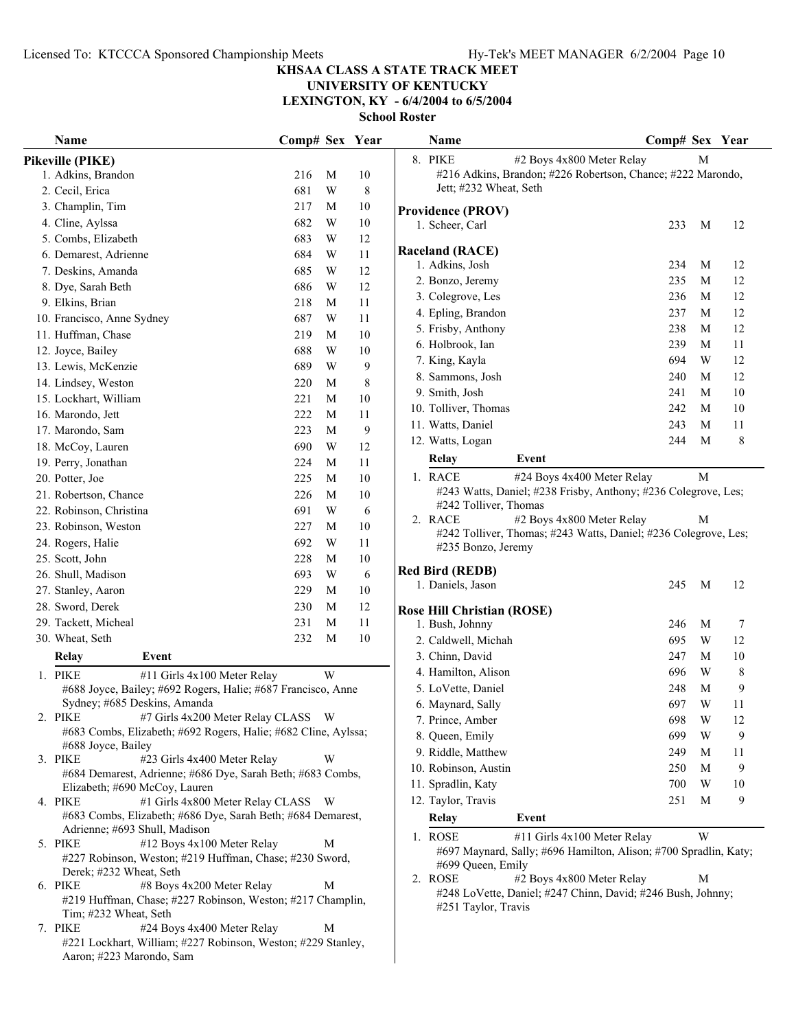# **UNIVERSITY OF KENTUCKY**

**LEXINGTON, KY - 6/4/2004 to 6/5/2004**

| Name                                                                                         | Comp# Sex Year |   |             | Name                                                                               | Comp# Sex Year |        |          |  |
|----------------------------------------------------------------------------------------------|----------------|---|-------------|------------------------------------------------------------------------------------|----------------|--------|----------|--|
| Pikeville (PIKE)                                                                             |                |   |             | 8. PIKE<br>#2 Boys 4x800 Meter Relay                                               |                | M      |          |  |
| 1. Adkins, Brandon                                                                           | 216            | M | 10          | #216 Adkins, Brandon; #226 Robertson, Chance; #222 Marondo,                        |                |        |          |  |
| 2. Cecil, Erica                                                                              | 681            | W | $\,$ 8 $\,$ | Jett; #232 Wheat, Seth                                                             |                |        |          |  |
| 3. Champlin, Tim                                                                             | 217            | M | 10          | <b>Providence (PROV)</b>                                                           |                |        |          |  |
| 4. Cline, Aylssa                                                                             | 682            | W | 10          | 1. Scheer, Carl                                                                    | 233            | M      | 12       |  |
| 5. Combs, Elizabeth                                                                          | 683            | W | 12          |                                                                                    |                |        |          |  |
| 6. Demarest, Adrienne                                                                        | 684            | W | 11          | <b>Raceland (RACE)</b>                                                             |                |        |          |  |
| 7. Deskins, Amanda                                                                           | 685            | W | 12          | 1. Adkins, Josh                                                                    | 234            | M      | 12       |  |
| 8. Dye, Sarah Beth                                                                           | 686            | W | 12          | 2. Bonzo, Jeremy                                                                   | 235            | M      | 12       |  |
| 9. Elkins, Brian                                                                             | 218            | M | 11          | 3. Colegrove, Les                                                                  | 236            | M      | 12       |  |
| 10. Francisco, Anne Sydney                                                                   | 687            | W | 11          | 4. Epling, Brandon                                                                 | 237            | M      | 12       |  |
| 11. Huffman, Chase                                                                           | 219            | M | $10\,$      | 5. Frisby, Anthony                                                                 | 238            | M      | 12       |  |
| 12. Joyce, Bailey                                                                            | 688            | W | 10          | 6. Holbrook, Ian                                                                   | 239            | M      | 11       |  |
| 13. Lewis, McKenzie                                                                          | 689            | W | 9           | 7. King, Kayla                                                                     | 694            | W      | 12       |  |
| 14. Lindsey, Weston                                                                          | 220            | M | 8           | 8. Sammons, Josh                                                                   | 240            | M      | 12       |  |
| 15. Lockhart, William                                                                        | 221            | M | 10          | 9. Smith, Josh                                                                     | 241            | M      | 10       |  |
| 16. Marondo, Jett                                                                            | 222            | M | 11          | 10. Tolliver, Thomas                                                               | 242            | M      | 10       |  |
| 17. Marondo, Sam                                                                             | 223            | M | 9           | 11. Watts, Daniel                                                                  | 243            | M      | 11       |  |
| 18. McCoy, Lauren                                                                            | 690            | W | 12          | 12. Watts, Logan                                                                   | 244            | M      | $\,8\,$  |  |
| 19. Perry, Jonathan                                                                          | 224            | M | 11          | Relay<br>Event                                                                     |                |        |          |  |
| 20. Potter, Joe                                                                              | 225            | M | 10          | 1. RACE<br>#24 Boys 4x400 Meter Relay                                              |                | M      |          |  |
| 21. Robertson, Chance                                                                        | 226            | M | $10\,$      | #243 Watts, Daniel; #238 Frisby, Anthony; #236 Colegrove, Les;                     |                |        |          |  |
| 22. Robinson, Christina                                                                      | 691            | W | 6           | #242 Tolliver, Thomas                                                              |                |        |          |  |
| 23. Robinson, Weston                                                                         | 227            | M | 10          | 2. RACE<br>#2 Boys 4x800 Meter Relay                                               |                | M      |          |  |
| 24. Rogers, Halie                                                                            | 692            | W | 11          | #242 Tolliver, Thomas; #243 Watts, Daniel; #236 Colegrove, Les;                    |                |        |          |  |
| 25. Scott, John                                                                              | 228            | M | $10\,$      | #235 Bonzo, Jeremy                                                                 |                |        |          |  |
| 26. Shull, Madison                                                                           | 693            | W | 6           | <b>Red Bird (REDB)</b>                                                             |                |        |          |  |
| 27. Stanley, Aaron                                                                           | 229            | M | $10\,$      | 1. Daniels, Jason                                                                  | 245            | M      | 12       |  |
| 28. Sword, Derek                                                                             | 230            | M | $12\,$      |                                                                                    |                |        |          |  |
| 29. Tackett, Micheal                                                                         | 231            | M | 11          | <b>Rose Hill Christian (ROSE)</b><br>1. Bush, Johnny                               | 246            | M      | 7        |  |
| 30. Wheat, Seth                                                                              | 232            | M | $10\,$      | 2. Caldwell, Michah                                                                | 695            | W      |          |  |
|                                                                                              |                |   |             | 3. Chinn, David                                                                    |                |        | 12<br>10 |  |
| <b>Relay</b><br>Event                                                                        |                |   |             | 4. Hamilton, Alison                                                                | 247<br>696     | M<br>W |          |  |
| 1. PIKE<br>#11 Girls 4x100 Meter Relay                                                       |                | W |             | 5. LoVette, Daniel                                                                 |                | M      | 8<br>9   |  |
| #688 Joyce, Bailey; #692 Rogers, Halie; #687 Francisco, Anne                                 |                |   |             |                                                                                    | 248            |        |          |  |
| Sydney; #685 Deskins, Amanda<br>#7 Girls 4x200 Meter Relay CLASS W<br>2. PIKE                |                |   |             | 6. Maynard, Sally                                                                  | 697            | W      | 11       |  |
| #683 Combs, Elizabeth; #692 Rogers, Halie; #682 Cline, Aylssa;                               |                |   |             | 7. Prince, Amber                                                                   | 698            | W      | 12       |  |
| #688 Joyce, Bailey                                                                           |                |   |             | 8. Queen, Emily                                                                    | 699            | W      | 9        |  |
| 3. PIKE<br>#23 Girls 4x400 Meter Relay                                                       |                | W |             | 9. Riddle, Matthew                                                                 | 249            | M      | 11       |  |
| #684 Demarest, Adrienne; #686 Dye, Sarah Beth; #683 Combs,                                   |                |   |             | 10. Robinson, Austin                                                               | 250            | M      | 9        |  |
| Elizabeth; #690 McCoy, Lauren                                                                |                |   |             | 11. Spradlin, Katy                                                                 | 700            | W      | 10       |  |
| #1 Girls 4x800 Meter Relay CLASS W<br>4. PIKE                                                |                |   |             | 12. Taylor, Travis                                                                 | 251            | M      | 9        |  |
| #683 Combs, Elizabeth; #686 Dye, Sarah Beth; #684 Demarest,<br>Adrienne; #693 Shull, Madison |                |   |             | Relay<br>Event                                                                     |                |        |          |  |
| #12 Boys 4x100 Meter Relay<br>5. PIKE                                                        |                | M |             | 1. ROSE<br>#11 Girls 4x100 Meter Relay                                             |                | W      |          |  |
| #227 Robinson, Weston; #219 Huffman, Chase; #230 Sword,                                      |                |   |             | #697 Maynard, Sally; #696 Hamilton, Alison; #700 Spradlin, Katy;                   |                |        |          |  |
| Derek; #232 Wheat, Seth                                                                      |                |   |             | #699 Queen, Emily                                                                  |                |        |          |  |
| 6. PIKE<br>#8 Boys 4x200 Meter Relay                                                         |                | М |             | 2. ROSE<br>#2 Boys 4x800 Meter Relay                                               |                | M      |          |  |
| #219 Huffman, Chase; #227 Robinson, Weston; #217 Champlin,                                   |                |   |             | #248 LoVette, Daniel; #247 Chinn, David; #246 Bush, Johnny;<br>#251 Taylor, Travis |                |        |          |  |
| Tim; #232 Wheat, Seth                                                                        |                |   |             |                                                                                    |                |        |          |  |
| #24 Boys 4x400 Meter Relay<br>7. PIKE                                                        |                | M |             |                                                                                    |                |        |          |  |
| #221 Lockhart, William; #227 Robinson, Weston; #229 Stanley,<br>Aaron; #223 Marondo, Sam     |                |   |             |                                                                                    |                |        |          |  |
|                                                                                              |                |   |             |                                                                                    |                |        |          |  |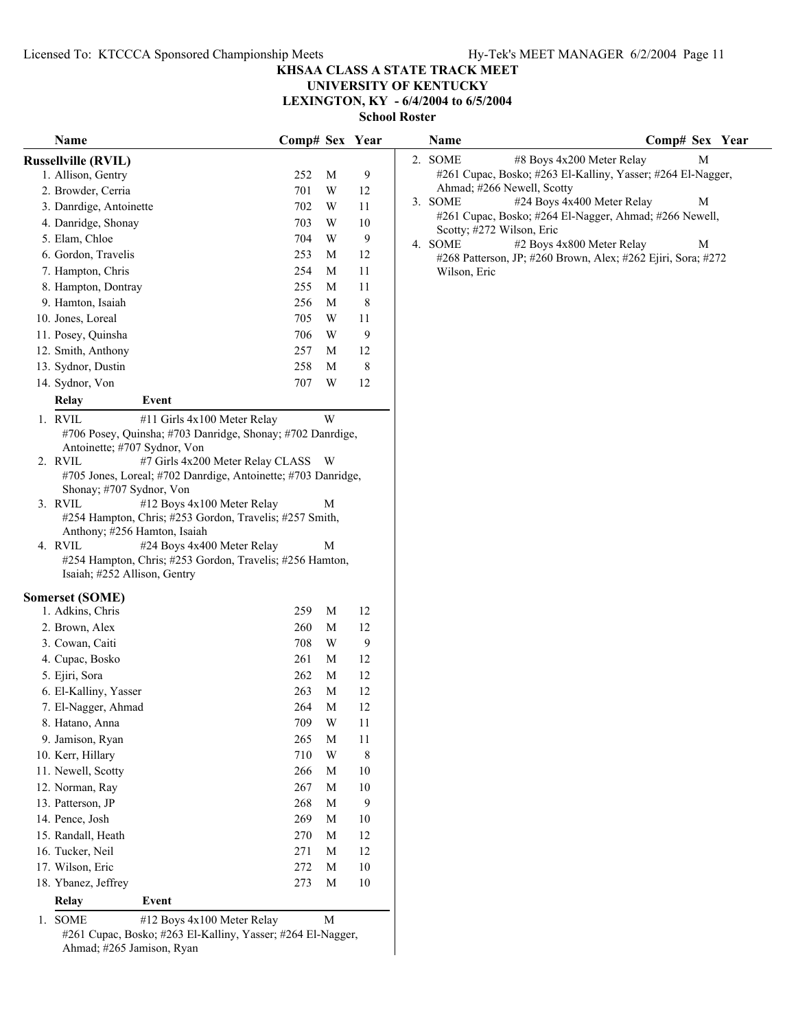# **UNIVERSITY OF KENTUCKY**

**LEXINGTON, KY - 6/4/2004 to 6/5/2004**

**School Roster**

| Name                                                                                                                              | Comp# Sex Year |   |         | Name         | Comp# Sex Year                                               |
|-----------------------------------------------------------------------------------------------------------------------------------|----------------|---|---------|--------------|--------------------------------------------------------------|
| <b>Russellville (RVIL)</b>                                                                                                        |                |   |         | 2. SOME      | #8 Boys 4x200 Meter Relay<br>M                               |
| 1. Allison, Gentry                                                                                                                | 252            | M | 9       |              | #261 Cupac, Bosko; #263 El-Kalliny, Yasser; #264 El-Nagger,  |
| 2. Browder, Cerria                                                                                                                | 701            | W | 12      |              | Ahmad; #266 Newell, Scotty                                   |
| 3. Danrdige, Antoinette                                                                                                           | 702            | W | 11      | 3. SOME      | #24 Boys 4x400 Meter Relay<br>M                              |
| 4. Danridge, Shonay                                                                                                               | 703            | W | 10      |              | #261 Cupac, Bosko; #264 El-Nagger, Ahmad; #266 Newell,       |
| 5. Elam, Chloe                                                                                                                    | 704            | W | 9       | 4. SOME      | Scotty; #272 Wilson, Eric<br>#2 Boys 4x800 Meter Relay<br>M  |
| 6. Gordon, Travelis                                                                                                               | 253            | M | 12      |              | #268 Patterson, JP; #260 Brown, Alex; #262 Ejiri, Sora; #272 |
| 7. Hampton, Chris                                                                                                                 | 254            | M | 11      | Wilson, Eric |                                                              |
| 8. Hampton, Dontray                                                                                                               | 255            | M | 11      |              |                                                              |
| 9. Hamton, Isaiah                                                                                                                 | 256            | M | $8\,$   |              |                                                              |
| 10. Jones, Loreal                                                                                                                 | 705            | W | 11      |              |                                                              |
| 11. Posey, Quinsha                                                                                                                | 706            | W | 9       |              |                                                              |
| 12. Smith, Anthony                                                                                                                | 257            | M | 12      |              |                                                              |
| 13. Sydnor, Dustin                                                                                                                | 258            | M | $\,8\,$ |              |                                                              |
| 14. Sydnor, Von                                                                                                                   | 707            | W | 12      |              |                                                              |
| Event<br><b>Relay</b>                                                                                                             |                |   |         |              |                                                              |
| 1. RVIL<br>#11 Girls 4x100 Meter Relay                                                                                            |                | W |         |              |                                                              |
| #706 Posey, Quinsha; #703 Danridge, Shonay; #702 Danrdige,                                                                        |                |   |         |              |                                                              |
| Antoinette; #707 Sydnor, Von<br>#7 Girls 4x200 Meter Relay CLASS W<br>2. RVIL                                                     |                |   |         |              |                                                              |
| #705 Jones, Loreal; #702 Danrdige, Antoinette; #703 Danridge,                                                                     |                |   |         |              |                                                              |
| Shonay; #707 Sydnor, Von                                                                                                          |                |   |         |              |                                                              |
| 3. RVIL<br>#12 Boys 4x100 Meter Relay                                                                                             |                | M |         |              |                                                              |
| #254 Hampton, Chris; #253 Gordon, Travelis; #257 Smith,                                                                           |                |   |         |              |                                                              |
| Anthony; #256 Hamton, Isaiah                                                                                                      |                |   |         |              |                                                              |
| 4. RVIL<br>#24 Boys 4x400 Meter Relay<br>#254 Hampton, Chris; #253 Gordon, Travelis; #256 Hamton,<br>Isaiah; #252 Allison, Gentry |                | M |         |              |                                                              |
|                                                                                                                                   |                |   |         |              |                                                              |
| <b>Somerset (SOME)</b><br>1. Adkins, Chris                                                                                        | 259            | M | 12      |              |                                                              |
| 2. Brown, Alex                                                                                                                    | 260            | M | 12      |              |                                                              |
| 3. Cowan, Caiti                                                                                                                   | 708            | W | 9       |              |                                                              |
| 4. Cupac, Bosko                                                                                                                   | 261            | M | 12      |              |                                                              |
| 5. Ejiri, Sora                                                                                                                    | 262            | M | 12      |              |                                                              |
| 6. El-Kalliny, Yasser                                                                                                             | 263            | M | 12      |              |                                                              |
| 7. El-Nagger, Ahmad                                                                                                               | 264            | M | 12      |              |                                                              |
| 8. Hatano, Anna                                                                                                                   | 709            | W | 11      |              |                                                              |
| 9. Jamison, Ryan                                                                                                                  | 265            | M | 11      |              |                                                              |
| 10. Kerr, Hillary                                                                                                                 | 710            | W | 8       |              |                                                              |
| 11. Newell, Scotty                                                                                                                | 266            | M | 10      |              |                                                              |
| 12. Norman, Ray                                                                                                                   | 267            | M | 10      |              |                                                              |
| 13. Patterson, JP                                                                                                                 | 268            | M | 9       |              |                                                              |
| 14. Pence, Josh                                                                                                                   | 269            | M | 10      |              |                                                              |
| 15. Randall, Heath                                                                                                                | 270            | M | 12      |              |                                                              |
| 16. Tucker, Neil                                                                                                                  | 271            | M | 12      |              |                                                              |
| 17. Wilson, Eric                                                                                                                  | 272            | M | 10      |              |                                                              |
| 18. Ybanez, Jeffrey                                                                                                               | 273            | M | 10      |              |                                                              |
|                                                                                                                                   |                |   |         |              |                                                              |
| <b>Relay</b><br>Event                                                                                                             |                |   |         |              |                                                              |
| 1. SOME<br>#12 Boys 4x100 Meter Relay<br>$\#261$ Cunac, Bosko: $\#263$ El-Kalliny, Vasser: $\#264$ El-Nagger                      |                | M |         |              |                                                              |

#261 Cupac, Bosko; #263 El-Kalliny, Yasser; #264 El-Nagger, Ahmad; #265 Jamison, Ryan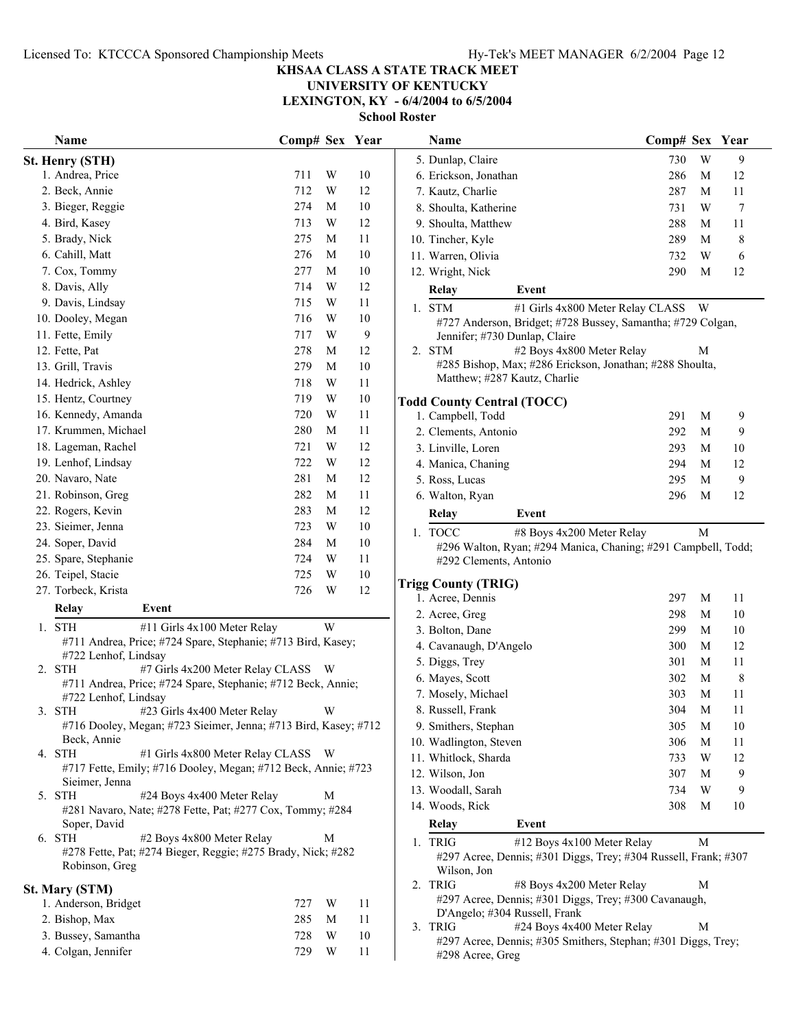## **UNIVERSITY OF KENTUCKY**

**LEXINGTON, KY - 6/4/2004 to 6/5/2004**

| Name                                                                                 | Comp# Sex Year |                         |        | Name                                                                                                   | Comp# Sex Year |   |             |
|--------------------------------------------------------------------------------------|----------------|-------------------------|--------|--------------------------------------------------------------------------------------------------------|----------------|---|-------------|
| <b>St. Henry (STH)</b>                                                               |                |                         |        | 5. Dunlap, Claire                                                                                      | 730            | W | 9           |
| 1. Andrea, Price                                                                     | 711            | W                       | 10     | 6. Erickson, Jonathan                                                                                  | 286            | M | 12          |
| 2. Beck, Annie                                                                       | 712            | W                       | 12     | 7. Kautz, Charlie                                                                                      | 287            | M | 11          |
| 3. Bieger, Reggie                                                                    | 274            | M                       | 10     | 8. Shoulta, Katherine                                                                                  | 731            | W | $\tau$      |
| 4. Bird, Kasey                                                                       | 713            | $\ensuremath{\text{W}}$ | 12     | 9. Shoulta, Matthew                                                                                    | 288            | M | 11          |
| 5. Brady, Nick                                                                       | 275            | M                       | 11     | 10. Tincher, Kyle                                                                                      | 289            | M | 8           |
| 6. Cahill, Matt                                                                      | 276            | M                       | $10\,$ | 11. Warren, Olivia                                                                                     | 732            | W | $\sqrt{6}$  |
| 7. Cox, Tommy                                                                        | 277            | M                       | $10\,$ | 12. Wright, Nick                                                                                       | 290            | M | 12          |
| 8. Davis, Ally                                                                       | 714            | $\ensuremath{\text{W}}$ | 12     | Relay<br>Event                                                                                         |                |   |             |
| 9. Davis, Lindsay                                                                    | 715            | $\ensuremath{\text{W}}$ | 11     | 1. STM<br>#1 Girls 4x800 Meter Relay CLASS                                                             |                | W |             |
| 10. Dooley, Megan                                                                    | 716            | W                       | 10     | #727 Anderson, Bridget; #728 Bussey, Samantha; #729 Colgan,                                            |                |   |             |
| 11. Fette, Emily                                                                     | 717            | W                       | 9      | Jennifer; #730 Dunlap, Claire                                                                          |                |   |             |
| 12. Fette, Pat                                                                       | 278            | M                       | 12     | #2 Boys 4x800 Meter Relay<br>2. STM                                                                    |                | М |             |
| 13. Grill, Travis                                                                    | 279            | M                       | 10     | #285 Bishop, Max; #286 Erickson, Jonathan; #288 Shoulta,                                               |                |   |             |
| 14. Hedrick, Ashley                                                                  | 718            | W                       | 11     | Matthew; #287 Kautz, Charlie                                                                           |                |   |             |
| 15. Hentz, Courtney                                                                  | 719            | $\ensuremath{\text{W}}$ | 10     | <b>Todd County Central (TOCC)</b>                                                                      |                |   |             |
| 16. Kennedy, Amanda                                                                  | 720            | W                       | 11     | 1. Campbell, Todd                                                                                      | 291            | M | 9           |
| 17. Krummen, Michael                                                                 | 280            | M                       | 11     | 2. Clements, Antonio                                                                                   | 292            | M | 9           |
| 18. Lageman, Rachel                                                                  | 721            | $\ensuremath{\text{W}}$ | 12     | 3. Linville, Loren                                                                                     | 293            | M | 10          |
| 19. Lenhof, Lindsay                                                                  | 722            | W                       | 12     | 4. Manica, Chaning                                                                                     | 294            | M | 12          |
| 20. Navaro, Nate                                                                     | 281            | M                       | 12     | 5. Ross, Lucas                                                                                         | 295            | M | 9           |
| 21. Robinson, Greg                                                                   | 282            | M                       | 11     | 6. Walton, Ryan                                                                                        | 296            | M | 12          |
| 22. Rogers, Kevin                                                                    | 283            | M                       | 12     | Event                                                                                                  |                |   |             |
| 23. Sieimer, Jenna                                                                   | 723            | $\ensuremath{\text{W}}$ | 10     | Relay                                                                                                  |                |   |             |
| 24. Soper, David                                                                     | 284            | M                       | $10\,$ | 1. TOCC<br>#8 Boys 4x200 Meter Relay                                                                   |                | M |             |
| 25. Spare, Stephanie                                                                 | 724            | W                       | 11     | #296 Walton, Ryan; #294 Manica, Chaning; #291 Campbell, Todd<br>#292 Clements, Antonio                 |                |   |             |
| 26. Teipel, Stacie                                                                   | 725            | $\ensuremath{\text{W}}$ | $10\,$ |                                                                                                        |                |   |             |
| 27. Torbeck, Krista                                                                  | 726            | $\ensuremath{\text{W}}$ | 12     | <b>Trigg County (TRIG)</b>                                                                             |                |   |             |
| <b>Relay</b><br>Event                                                                |                |                         |        | 1. Acree, Dennis                                                                                       | 297            | M | 11          |
|                                                                                      |                |                         |        | 2. Acree, Greg                                                                                         | 298            | M | 10          |
| 1. STH<br>#11 Girls 4x100 Meter Relay                                                |                | W                       |        | 3. Bolton, Dane                                                                                        | 299            | M | 10          |
| #711 Andrea, Price; #724 Spare, Stephanie; #713 Bird, Kasey;<br>#722 Lenhof, Lindsay |                |                         |        | 4. Cavanaugh, D'Angelo                                                                                 | 300            | M | 12          |
| #7 Girls 4x200 Meter Relay CLASS W<br>2. STH                                         |                |                         |        | 5. Diggs, Trey                                                                                         | 301            | М | 11          |
| #711 Andrea, Price; #724 Spare, Stephanie; #712 Beck, Annie;                         |                |                         |        | 6. Mayes, Scott                                                                                        | 302            | M | $\,$ 8 $\,$ |
| #722 Lenhof, Lindsay                                                                 |                |                         |        | 7. Mosely, Michael                                                                                     | 303            | M | 11          |
| #23 Girls 4x400 Meter Relay<br>3. STH                                                |                | W                       |        | 8. Russell, Frank                                                                                      | 304            | M | 11          |
| #716 Dooley, Megan; #723 Sieimer, Jenna; #713 Bird, Kasey; #712                      |                |                         |        | 9. Smithers, Stephan                                                                                   | 305            | M | 10          |
| Beck, Annie                                                                          |                |                         |        | 10. Wadlington, Steven                                                                                 | 306            | M | 11          |
| #1 Girls 4x800 Meter Relay CLASS W<br>4. STH                                         |                |                         |        | 11. Whitlock, Sharda                                                                                   | 733            | W | 12          |
| #717 Fette, Emily; #716 Dooley, Megan; #712 Beck, Annie; #723<br>Sieimer, Jenna      |                |                         |        | 12. Wilson, Jon                                                                                        | 307            | M | 9           |
| #24 Boys 4x400 Meter Relay<br>5. STH                                                 |                | M                       |        | 13. Woodall, Sarah                                                                                     | 734            | W | 9           |
| #281 Navaro, Nate; #278 Fette, Pat; #277 Cox, Tommy; #284                            |                |                         |        | 14. Woods, Rick                                                                                        | 308            | M | 10          |
| Soper, David                                                                         |                |                         |        | Relay<br>Event                                                                                         |                |   |             |
| 6. STH<br>#2 Boys 4x800 Meter Relay                                                  |                | M                       |        | 1. TRIG<br>#12 Boys 4x100 Meter Relay                                                                  |                | М |             |
| #278 Fette, Pat; #274 Bieger, Reggie; #275 Brady, Nick; #282                         |                |                         |        | #297 Acree, Dennis; #301 Diggs, Trey; #304 Russell, Frank; #307                                        |                |   |             |
| Robinson, Greg                                                                       |                |                         |        | Wilson, Jon                                                                                            |                |   |             |
| <b>St. Mary (STM)</b>                                                                |                |                         |        | 2. TRIG<br>#8 Boys 4x200 Meter Relay                                                                   |                | М |             |
| 1. Anderson, Bridget                                                                 | 727            | W                       | 11     | #297 Acree, Dennis; #301 Diggs, Trey; #300 Cavanaugh,                                                  |                |   |             |
| 2. Bishop, Max                                                                       | 285            | M                       | 11     | D'Angelo; #304 Russell, Frank                                                                          |                |   |             |
| 3. Bussey, Samantha                                                                  | 728            | W                       | 10     | 3. TRIG<br>#24 Boys 4x400 Meter Relay<br>#297 Acree, Dennis; #305 Smithers, Stephan; #301 Diggs, Trey; |                | M |             |
| 4. Colgan, Jennifer                                                                  | 729            | W                       | 11     | $#298$ Acree. Greg                                                                                     |                |   |             |

| IAUƏLLI |                                                                                                                                                              |           |   |      |
|---------|--------------------------------------------------------------------------------------------------------------------------------------------------------------|-----------|---|------|
|         | Name                                                                                                                                                         | Comp# Sex |   | Year |
|         | 5. Dunlap, Claire                                                                                                                                            | 730       | W | 9    |
|         | 6. Erickson, Jonathan                                                                                                                                        | 286       | М | 12   |
|         | 7. Kautz, Charlie                                                                                                                                            | 287       | М | 11   |
|         | 8. Shoulta, Katherine                                                                                                                                        | 731       | W | 7    |
|         | 9. Shoulta, Matthew                                                                                                                                          | 288       | M | 11   |
|         | 10. Tincher, Kyle                                                                                                                                            | 289       | М | 8    |
|         | 11. Warren, Olivia                                                                                                                                           | 732       | W | 6    |
|         | 12. Wright, Nick                                                                                                                                             | 290       | М | 12   |
|         | Event<br><b>Relay</b>                                                                                                                                        |           |   |      |
| 1.      | <b>STM</b><br>#1 Girls 4x800 Meter Relay CLASS<br>#727 Anderson, Bridget; #728 Bussey, Samantha; #729 Colgan,<br>Jennifer; #730 Dunlap, Claire<br><b>STM</b> |           | W |      |
| 2.      | #2 Boys 4x800 Meter Relay<br>#285 Bishop, Max; #286 Erickson, Jonathan; #288 Shoulta,<br>Matthew; #287 Kautz, Charlie                                        |           | М |      |
|         | <b>Todd County Central (TOCC)</b>                                                                                                                            |           |   |      |
|         | 1. Campbell, Todd                                                                                                                                            | 291       | М | 9    |
|         | 2. Clements, Antonio                                                                                                                                         | 292       | М | 9    |
|         | 3. Linville, Loren                                                                                                                                           | 293       | M | 10   |
|         | 4. Manica, Chaning                                                                                                                                           | 294       | М | 12   |
|         | 5. Ross, Lucas                                                                                                                                               | 295       | М | 9    |
|         | 6. Walton, Ryan                                                                                                                                              | 296       | М | 12   |
|         | <b>Relay</b><br>Event                                                                                                                                        |           |   |      |
| 1.      | <b>TOCC</b><br>#8 Boys 4x200 Meter Relay<br>#296 Walton, Ryan; #294 Manica, Chaning; #291 Campbell, Todd;<br>#292 Clements, Antonio                          |           | М |      |
|         | <b>Trigg County (TRIG)</b><br>1. Acree, Dennis                                                                                                               | 297       | М | 11   |
|         | 2. Acree, Greg                                                                                                                                               | 298       | М | 10   |
|         | 3. Bolton, Dane                                                                                                                                              | 299       | М | 10   |
|         | 4. Cavanaugh, D'Angelo                                                                                                                                       | 300       | M | 12   |
|         | 5. Diggs, Trey                                                                                                                                               | 301       | M | 11   |
|         | 6. Mayes, Scott                                                                                                                                              | 302       | М | 8    |
|         | 7. Mosely, Michael                                                                                                                                           | 303       | М | 11   |
|         | 8. Russell, Frank                                                                                                                                            | 304       | M | 11   |
|         | 9. Smithers, Stephan                                                                                                                                         | 305       | М | 10   |
|         | 10. Wadlington, Steven                                                                                                                                       | 306       | M | 11   |
|         | 11. Whitlock, Sharda                                                                                                                                         | 733       | W | 12   |
|         | 12. Wilson, Jon                                                                                                                                              | 307       | M | 9    |
|         | 13. Woodall, Sarah                                                                                                                                           | 734       | W | 9    |
|         | 14. Woods, Rick                                                                                                                                              | 308       | М | 10   |
|         | Event<br>Relay                                                                                                                                               |           |   |      |
| 1.      | <b>TRIG</b><br>#12 Boys 4x100 Meter Relay<br>#297 Acree, Dennis; #301 Diggs, Trey; #304 Russell, Frank; #307<br>Wilson, Jon                                  |           | М |      |
| 2.      | <b>TRIG</b><br>#8 Boys 4x200 Meter Relay<br>#297 Acree, Dennis; #301 Diggs, Trey; #300 Cavanaugh,<br>D'Angelo; #304 Russell, Frank                           |           | М |      |
| 3.      | <b>TRIG</b><br>#24 Boys 4x400 Meter Relay<br>#297 Acree, Dennis; #305 Smithers, Stephan; #301 Diggs, Trey;<br>#298 Acree, Greg                               |           | М |      |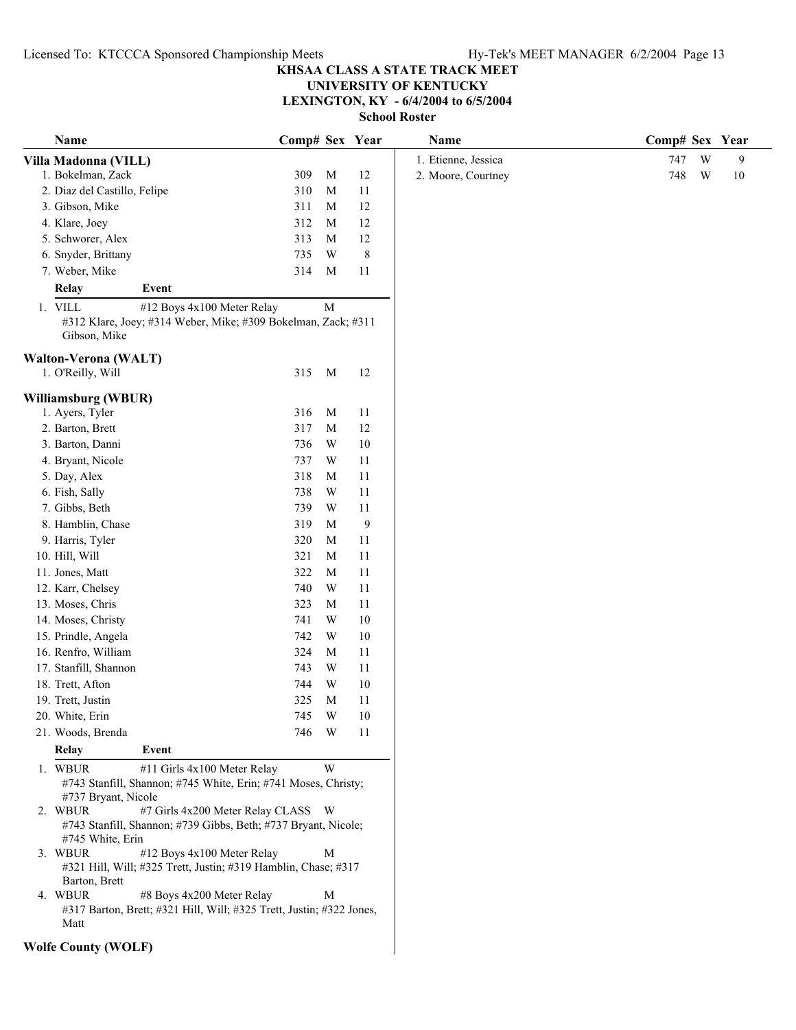**UNIVERSITY OF KENTUCKY**

**LEXINGTON, KY - 6/4/2004 to 6/5/2004**

| Name                                                                                                     | Comp# Sex Year |                         |           | Name                | Comp# Sex Year     |
|----------------------------------------------------------------------------------------------------------|----------------|-------------------------|-----------|---------------------|--------------------|
| Villa Madonna (VILL)                                                                                     |                |                         |           | 1. Etienne, Jessica | W<br>747<br>9      |
| 1. Bokelman, Zack                                                                                        | 309            | M                       | 12        | 2. Moore, Courtney  | 748<br>W<br>$10\,$ |
| 2. Diaz del Castillo, Felipe                                                                             | 310            | M                       | 11        |                     |                    |
| 3. Gibson, Mike                                                                                          | 311            | M                       | 12        |                     |                    |
| 4. Klare, Joey                                                                                           | 312            | M                       | 12        |                     |                    |
| 5. Schworer, Alex                                                                                        | 313            | $\mathbf M$             | 12        |                     |                    |
| 6. Snyder, Brittany                                                                                      | 735            | W                       | $\,$ $\,$ |                     |                    |
| 7. Weber, Mike                                                                                           | 314            | M                       | 11        |                     |                    |
| <b>Relay</b><br>Event                                                                                    |                |                         |           |                     |                    |
| 1. VILL<br>#12 Boys 4x100 Meter Relay                                                                    |                | M                       |           |                     |                    |
| #312 Klare, Joey; #314 Weber, Mike; #309 Bokelman, Zack; #311<br>Gibson, Mike                            |                |                         |           |                     |                    |
| Walton-Verona (WALT)                                                                                     |                |                         |           |                     |                    |
| 1. O'Reilly, Will                                                                                        | 315            | M                       | 12        |                     |                    |
|                                                                                                          |                |                         |           |                     |                    |
| Williamsburg (WBUR)<br>1. Ayers, Tyler                                                                   | 316            | M                       | 11        |                     |                    |
| 2. Barton, Brett                                                                                         | 317            | $\mathbf M$             | 12        |                     |                    |
| 3. Barton, Danni                                                                                         | 736            | W                       | $10\,$    |                     |                    |
| 4. Bryant, Nicole                                                                                        | 737            | W                       | 11        |                     |                    |
| 5. Day, Alex                                                                                             | 318            | M                       | 11        |                     |                    |
| 6. Fish, Sally                                                                                           | 738            | W                       | 11        |                     |                    |
| 7. Gibbs, Beth                                                                                           | 739            | W                       | 11        |                     |                    |
| 8. Hamblin, Chase                                                                                        | 319            | M                       | 9         |                     |                    |
| 9. Harris, Tyler                                                                                         | 320            | M                       | 11        |                     |                    |
| 10. Hill, Will                                                                                           | 321            | M                       | 11        |                     |                    |
| 11. Jones, Matt                                                                                          | 322            | M                       | 11        |                     |                    |
| 12. Karr, Chelsey                                                                                        | 740            | W                       | 11        |                     |                    |
| 13. Moses, Chris                                                                                         | 323            | M                       | 11        |                     |                    |
| 14. Moses, Christy                                                                                       | 741            | W                       | $10\,$    |                     |                    |
| 15. Prindle, Angela                                                                                      | 742            | W                       | 10        |                     |                    |
| 16. Renfro, William                                                                                      | 324            | M                       | 11        |                     |                    |
| 17. Stanfill, Shannon                                                                                    | 743            | W                       | 11        |                     |                    |
| 18. Trett, Afton                                                                                         | 744            | W                       | $10\,$    |                     |                    |
| 19. Trett, Justin                                                                                        | 325            | $\mathbf M$             | 11        |                     |                    |
| 20. White, Erin                                                                                          | 745            | $\ensuremath{\text{W}}$ | $10\,$    |                     |                    |
| 21. Woods, Brenda                                                                                        | 746            | W                       | 11        |                     |                    |
| Event<br>Relay                                                                                           |                |                         |           |                     |                    |
| #11 Girls 4x100 Meter Relay<br>1. WBUR<br>#743 Stanfill, Shannon; #745 White, Erin; #741 Moses, Christy; |                | W                       |           |                     |                    |
| #737 Bryant, Nicole                                                                                      |                |                         |           |                     |                    |
| #7 Girls 4x200 Meter Relay CLASS W<br>2. WBUR                                                            |                |                         |           |                     |                    |
| #743 Stanfill, Shannon; #739 Gibbs, Beth; #737 Bryant, Nicole;                                           |                |                         |           |                     |                    |
| #745 White, Erin<br>3. WBUR<br>#12 Boys 4x100 Meter Relay                                                |                | M                       |           |                     |                    |
| #321 Hill, Will; #325 Trett, Justin; #319 Hamblin, Chase; #317                                           |                |                         |           |                     |                    |
| Barton, Brett                                                                                            |                |                         |           |                     |                    |
| 4. WBUR<br>#8 Boys 4x200 Meter Relay                                                                     |                | $\mathbf M$             |           |                     |                    |
| #317 Barton, Brett; #321 Hill, Will; #325 Trett, Justin; #322 Jones,<br>Matt                             |                |                         |           |                     |                    |
| <b>Wolfe County (WOLF)</b>                                                                               |                |                         |           |                     |                    |